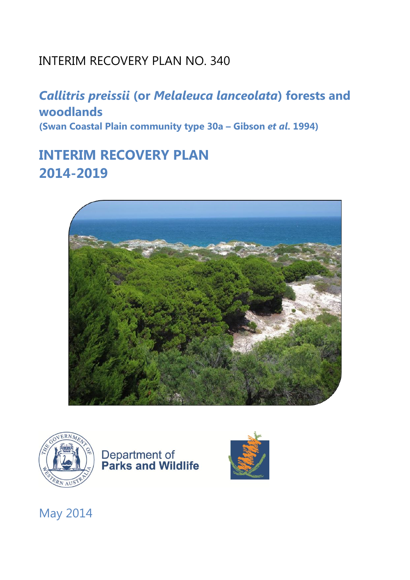## INTERIM RECOVERY PLAN NO. 340

*Callitris preissii* **(or** *Melaleuca lanceolata***) forests and woodlands (Swan Coastal Plain community type 30a – Gibson** *et al***. 1994)**

## **INTERIM RECOVERY PLAN 2014-2019**









May 2014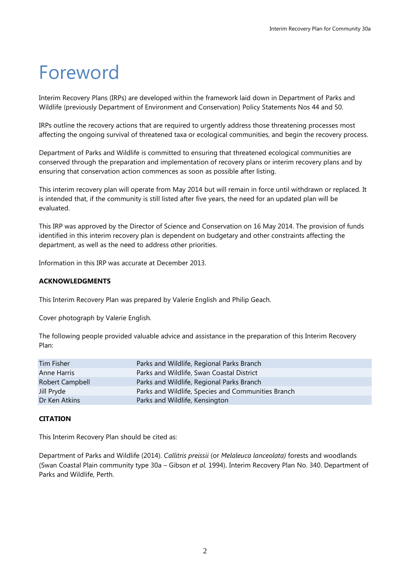# Foreword

Interim Recovery Plans (IRPs) are developed within the framework laid down in Department of Parks and Wildlife (previously Department of Environment and Conservation) Policy Statements Nos 44 and 50.

IRPs outline the recovery actions that are required to urgently address those threatening processes most affecting the ongoing survival of threatened taxa or ecological communities, and begin the recovery process.

Department of Parks and Wildlife is committed to ensuring that threatened ecological communities are conserved through the preparation and implementation of recovery plans or interim recovery plans and by ensuring that conservation action commences as soon as possible after listing.

This interim recovery plan will operate from May 2014 but will remain in force until withdrawn or replaced. It is intended that, if the community is still listed after five years, the need for an updated plan will be evaluated.

This IRP was approved by the Director of Science and Conservation on 16 May 2014. The provision of funds identified in this interim recovery plan is dependent on budgetary and other constraints affecting the department, as well as the need to address other priorities.

Information in this IRP was accurate at December 2013.

## **ACKNOWLEDGMENTS**

This Interim Recovery Plan was prepared by Valerie English and Philip Geach.

Cover photograph by Valerie English.

The following people provided valuable advice and assistance in the preparation of this Interim Recovery Plan:

| Parks and Wildlife, Regional Parks Branch          |
|----------------------------------------------------|
| Parks and Wildlife, Swan Coastal District          |
| Parks and Wildlife, Regional Parks Branch          |
| Parks and Wildlife, Species and Communities Branch |
| Parks and Wildlife, Kensington                     |
|                                                    |

## **CITATION**

This Interim Recovery Plan should be cited as:

Department of Parks and Wildlife (2014). *Callitris preissii* (or *Melaleuca lanceolata)* forests and woodlands. (Swan Coastal Plain community type 30a – Gibson *et al*. 1994). Interim Recovery Plan No. 340. Department of Parks and Wildlife, Perth.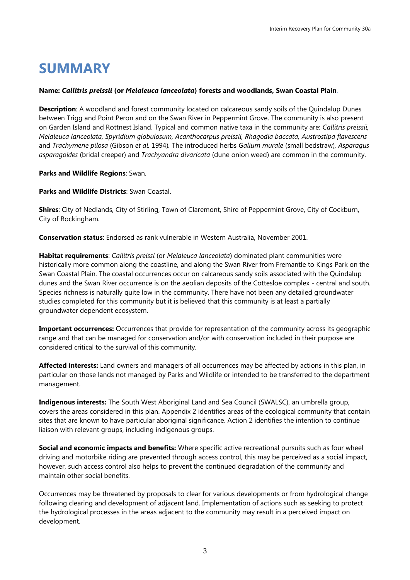## **SUMMARY**

## **Name:** *Callitris preissii* **(or** *Melaleuca lanceolata***) forests and woodlands, Swan Coastal Plain.**

**Description**: A woodland and forest community located on calcareous sandy soils of the Quindalup Dunes between Trigg and Point Peron and on the Swan River in Peppermint Grove. The community is also present on Garden Island and Rottnest Island. Typical and common native taxa in the community are: *Callitris preissii, Melaleuca lanceolata, Spyridium globulosum, Acanthocarpus preissii, Rhagodia baccata, Austrostipa flavescens*  and *Trachymene pilosa* (Gibson *et al.* 1994)*.* The introduced herbs *Galium murale* (small bedstraw)*, Asparagus asparagoides* (bridal creeper) and *Trachyandra divaricata* (dune onion weed) are common in the community.

## **Parks and Wildlife Regions**: Swan.

**Parks and Wildlife Districts**: Swan Coastal.

**Shires**: City of Nedlands, City of Stirling, Town of Claremont, Shire of Peppermint Grove, City of Cockburn, City of Rockingham.

**Conservation status**: Endorsed as rank vulnerable in Western Australia, November 2001.

**Habitat requirements**: *Callitris preissi* (or *Melaleuca lanceolata*) dominated plant communities were historically more common along the coastline, and along the Swan River from Fremantle to Kings Park on the Swan Coastal Plain. The coastal occurrences occur on calcareous sandy soils associated with the Quindalup dunes and the Swan River occurrence is on the aeolian deposits of the Cottesloe complex - central and south. Species richness is naturally quite low in the community. There have not been any detailed groundwater studies completed for this community but it is believed that this community is at least a partially groundwater dependent ecosystem.

**Important occurrences:** Occurrences that provide for representation of the community across its geographic range and that can be managed for conservation and/or with conservation included in their purpose are considered critical to the survival of this community.

**Affected interests:** Land owners and managers of all occurrences may be affected by actions in this plan, in particular on those lands not managed by Parks and Wildlife or intended to be transferred to the department management.

**Indigenous interests:** The South West Aboriginal Land and Sea Council (SWALSC), an umbrella group, covers the areas considered in this plan. Appendix 2 identifies areas of the ecological community that contain sites that are known to have particular aboriginal significance. Action 2 identifies the intention to continue liaison with relevant groups, including indigenous groups.

**Social and economic impacts and benefits:** Where specific active recreational pursuits such as four wheel driving and motorbike riding are prevented through access control, this may be perceived as a social impact, however, such access control also helps to prevent the continued degradation of the community and maintain other social benefits.

Occurrences may be threatened by proposals to clear for various developments or from hydrological change following clearing and development of adjacent land. Implementation of actions such as seeking to protect the hydrological processes in the areas adjacent to the community may result in a perceived impact on development.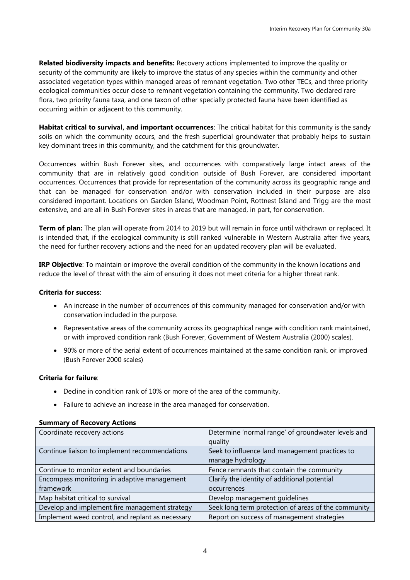**Related biodiversity impacts and benefits:** Recovery actions implemented to improve the quality or security of the community are likely to improve the status of any species within the community and other associated vegetation types within managed areas of remnant vegetation. Two other TECs, and three priority ecological communities occur close to remnant vegetation containing the community. Two declared rare flora, two priority fauna taxa, and one taxon of other specially protected fauna have been identified as occurring within or adjacent to this community.

**Habitat critical to survival, and important occurrences**: The critical habitat for this community is the sandy soils on which the community occurs, and the fresh superficial groundwater that probably helps to sustain key dominant trees in this community, and the catchment for this groundwater.

Occurrences within Bush Forever sites, and occurrences with comparatively large intact areas of the community that are in relatively good condition outside of Bush Forever, are considered important occurrences. Occurrences that provide for representation of the community across its geographic range and that can be managed for conservation and/or with conservation included in their purpose are also considered important. Locations on Garden Island, Woodman Point, Rottnest Island and Trigg are the most extensive, and are all in Bush Forever sites in areas that are managed, in part, for conservation.

**Term of plan:** The plan will operate from 2014 to 2019 but will remain in force until withdrawn or replaced. It is intended that, if the ecological community is still ranked vulnerable in Western Australia after five years, the need for further recovery actions and the need for an updated recovery plan will be evaluated.

**IRP Objective**: To maintain or improve the overall condition of the community in the known locations and reduce the level of threat with the aim of ensuring it does not meet criteria for a higher threat rank.

## **Criteria for success**:

- An increase in the number of occurrences of this community managed for conservation and/or with conservation included in the purpose.
- Representative areas of the community across its geographical range with condition rank maintained, or with improved condition rank (Bush Forever, Government of Western Australia (2000) scales).
- 90% or more of the aerial extent of occurrences maintained at the same condition rank, or improved (Bush Forever 2000 scales)

## **Criteria for failure**:

- Decline in condition rank of 10% or more of the area of the community.
- Failure to achieve an increase in the area managed for conservation.

| Coordinate recovery actions                      | Determine 'normal range' of groundwater levels and  |
|--------------------------------------------------|-----------------------------------------------------|
|                                                  | quality                                             |
| Continue liaison to implement recommendations    | Seek to influence land management practices to      |
|                                                  | manage hydrology                                    |
| Continue to monitor extent and boundaries        | Fence remnants that contain the community           |
| Encompass monitoring in adaptive management      | Clarify the identity of additional potential        |
| framework                                        | occurrences                                         |
| Map habitat critical to survival                 | Develop management guidelines                       |
| Develop and implement fire management strategy   | Seek long term protection of areas of the community |
| Implement weed control, and replant as necessary | Report on success of management strategies          |

#### **Summary of Recovery Actions**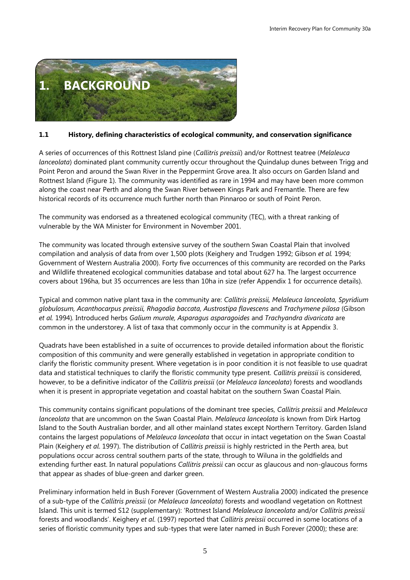

## **1.1 History, defining characteristics of ecological community, and conservation significance**

A series of occurrences of this Rottnest Island pine (*Callitris preissii*) and/or Rottnest teatree (*Melaleuca lanceolata*) dominated plant community currently occur throughout the Quindalup dunes between Trigg and Point Peron and around the Swan River in the Peppermint Grove area. It also occurs on Garden Island and Rottnest Island (Figure 1). The community was identified as rare in 1994 and may have been more common along the coast near Perth and along the Swan River between Kings Park and Fremantle. There are few historical records of its occurrence much further north than Pinnaroo or south of Point Peron.

The community was endorsed as a threatened ecological community (TEC), with a threat ranking of vulnerable by the WA Minister for Environment in November 2001.

The community was located through extensive survey of the southern Swan Coastal Plain that involved compilation and analysis of data from over 1,500 plots (Keighery and Trudgen 1992; Gibson *et al.* 1994; Government of Western Australia 2000). Forty five occurrences of this community are recorded on the Parks and Wildlife threatened ecological communities database and total about 627 ha. The largest occurrence covers about 196ha, but 35 occurrences are less than 10ha in size (refer Appendix 1 for occurrence details).

Typical and common native plant taxa in the community are: *Callitris preissii, Melaleuca lanceolata, Spyridium globulosum, Acanthocarpus preissii, Rhagodia baccata, Austrostipa flavescens* and *Trachymene pilosa* (Gibson *et al.* 1994)*.* Introduced herbs *Galium murale, Asparagus asparagoides* and *Trachyandra divaricata* are common in the understorey. A list of taxa that commonly occur in the community is at Appendix 3.

Quadrats have been established in a suite of occurrences to provide detailed information about the floristic composition of this community and were generally established in vegetation in appropriate condition to clarify the floristic community present. Where vegetation is in poor condition it is not feasible to use quadrat data and statistical techniques to clarify the floristic community type present. *Callitris preissii* is considered, however, to be a definitive indicator of the *Callitris preissii* (or *Melaleuca lanceolata*) forests and woodlands when it is present in appropriate vegetation and coastal habitat on the southern Swan Coastal Plain.

This community contains significant populations of the dominant tree species, *Callitris preissii* and *Melaleuca lanceolata* that are uncommon on the Swan Coastal Plain. *Melaleuca lanceolata* is known from Dirk Hartog Island to the South Australian border, and all other mainland states except Northern Territory. Garden Island contains the largest populations of *Melaleuca lanceolata* that occur in intact vegetation on the Swan Coastal Plain (Keighery *et al*. 1997). The distribution of *Callitris preissii* is highly restricted in the Perth area, but populations occur across central southern parts of the state, through to Wiluna in the goldfields and extending further east. In natural populations *Callitris preissii* can occur as glaucous and non-glaucous forms that appear as shades of blue-green and darker green.

Preliminary information held in Bush Forever (Government of Western Australia 2000) indicated the presence of a sub-type of the *Callitris preissii* (or *Melaleuca lanceolata*) forests and woodland vegetation on Rottnest Island. This unit is termed S12 (supplementary): 'Rottnest Island *Melaleuca lanceolata* and/or *Callitris preissii* forests and woodlands'. Keighery *et al*. (1997) reported that *Callitris preissii* occurred in some locations of a series of floristic community types and sub-types that were later named in Bush Forever (2000); these are: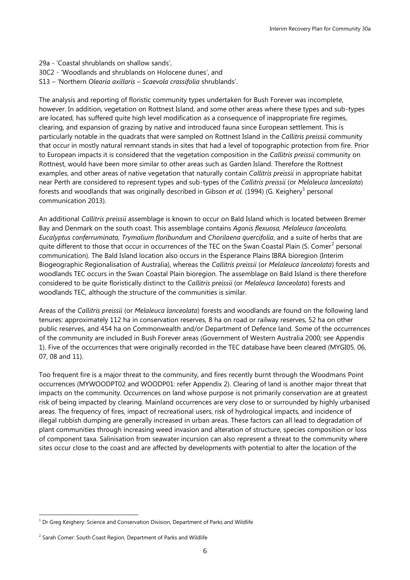29a - 'Coastal shrublands on shallow sands', 30C2 - 'Woodlands and shrublands on Holocene dunes', and S13 – 'Northern *Olearia axillaris* – *Scaevola crassifolia* shrublands'.

The analysis and reporting of floristic community types undertaken for Bush Forever was incomplete, however. In addition, vegetation on Rottnest Island, and some other areas where these types and sub-types are located, has suffered quite high level modification as a consequence of inappropriate fire regimes, clearing, and expansion of grazing by native and introduced fauna since European settlement. This is particularly notable in the quadrats that were sampled on Rottnest Island in the *Callitris preissii* community that occur in mostly natural remnant stands in sites that had a level of topographic protection from fire. Prior to European impacts it is considered that the vegetation composition in the *Callitris preissii* community on Rottnest, would have been more similar to other areas such as Garden Island. Therefore the Rottnest examples, and other areas of native vegetation that naturally contain *Callitris preissii* in appropriate habitat near Perth are considered to represent types and sub-types of the *Callitris preissii* (or *Melaleuca lanceolata*) forests and woodlands that was originally described in Gibson et al. (1994) (G. Keighery<sup>1</sup> personal communication 2013).

An additional *Callitris preissii* assemblage is known to occur on Bald Island which is located between Bremer Bay and Denmark on the south coast. This assemblage contains *Agonis flexuosa, Melaleuca lanceolata, Eucalyptus conferruminata, Trymalium floribundum* and *Chorilaena quercifolia*, and a suite of herbs that are quite different to those that occur in occurrences of the TEC on the Swan Coastal Plain (S. Comer<sup>2</sup> personal communication). The Bald Island location also occurs in the Esperance Plains IBRA bioregion (Interim Biogeographic Regionalisation of Australia), whereas the *Callitris preissii* (or *Melaleuca lanceolata*) forests and woodlands TEC occurs in the Swan Coastal Plain bioregion. The assemblage on Bald Island is there therefore considered to be quite floristically distinct to the *Callitris preissii* (or *Melaleuca lanceolata*) forests and woodlands TEC, although the structure of the communities is similar.

Areas of the *Callitris preissii* (or *Melaleuca lanceolata*) forests and woodlands are found on the following land tenures: approximately 112 ha in conservation reserves, 8 ha on road or railway reserves, 52 ha on other public reserves, and 454 ha on Commonwealth and/or Department of Defence land. Some of the occurrences of the community are included in Bush Forever areas (Government of Western Australia 2000; see Appendix 1). Five of the occurrences that were originally recorded in the TEC database have been cleared (MYGI05, 06, 07, 08 and 11).

Too frequent fire is a major threat to the community, and fires recently burnt through the Woodmans Point occurrences (MYWOODPT02 and WOODP01: refer Appendix 2). Clearing of land is another major threat that impacts on the community. Occurrences on land whose purpose is not primarily conservation are at greatest risk of being impacted by clearing. Mainland occurrences are very close to or surrounded by highly urbanised areas. The frequency of fires, impact of recreational users, risk of hydrological impacts, and incidence of illegal rubbish dumping are generally increased in urban areas. These factors can all lead to degradation of plant communities through increasing weed invasion and alteration of structure, species composition or loss of component taxa. Salinisation from seawater incursion can also represent a threat to the community where sites occur close to the coast and are affected by developments with potential to alter the location of the

1

 $1$  Dr Greg Keighery: Science and Conservation Division, Department of Parks and Wildlife

 $2$  Sarah Comer: South Coast Region, Department of Parks and Wildlife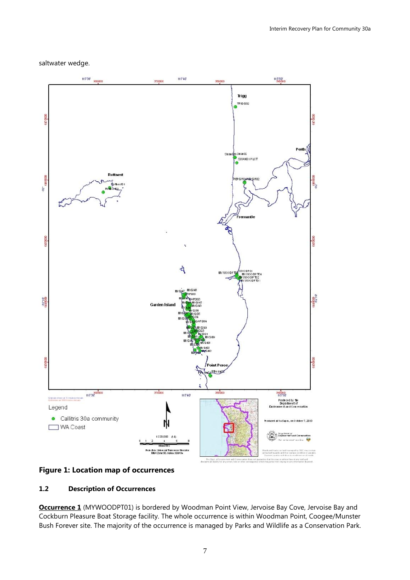#### saltwater wedge.



## **Figure 1: Location map of occurrences**

## **1.2 Description of Occurrences**

**Occurrence 1** (MYWOODPT01) is bordered by Woodman Point View, Jervoise Bay Cove, Jervoise Bay and Cockburn Pleasure Boat Storage facility. The whole occurrence is within Woodman Point, Coogee/Munster Bush Forever site. The majority of the occurrence is managed by Parks and Wildlife as a Conservation Park.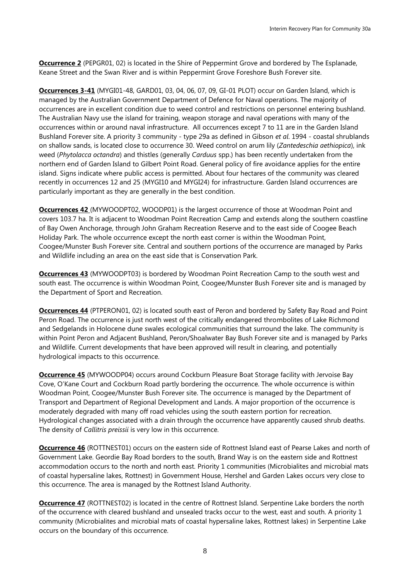**Occurrence 2** (PEPGR01, 02) is located in the Shire of Peppermint Grove and bordered by The Esplanade, Keane Street and the Swan River and is within Peppermint Grove Foreshore Bush Forever site.

**Occurrences 3-41** (MYGI01-48, GARD01, 03, 04, 06, 07, 09, GI-01 PLOT) occur on Garden Island, which is managed by the Australian Government Department of Defence for Naval operations. The majority of occurrences are in excellent condition due to weed control and restrictions on personnel entering bushland. The Australian Navy use the island for training, weapon storage and naval operations with many of the occurrences within or around naval infrastructure. All occurrences except 7 to 11 are in the Garden Island Bushland Forever site. A priority 3 community - type 29a as defined in Gibson *et al*. 1994 - coastal shrublands on shallow sands, is located close to occurrence 30. Weed control on arum lily (*Zantedeschia aethiopica*), ink weed (*Phytolacca octandra*) and thistles (generally *Carduus* spp.) has been recently undertaken from the northern end of Garden Island to Gilbert Point Road. General policy of fire avoidance applies for the entire island. Signs indicate where public access is permitted. About four hectares of the community was cleared recently in occurrences 12 and 25 (MYGI10 and MYGI24) for infrastructure. Garden Island occurrences are particularly important as they are generally in the best condition.

**Occurrences 42** (MYWOODPT02, WOODP01) is the largest occurrence of those at Woodman Point and covers 103.7 ha. It is adjacent to Woodman Point Recreation Camp and extends along the southern coastline of Bay Owen Anchorage, through John Graham Recreation Reserve and to the east side of Coogee Beach Holiday Park. The whole occurrence except the north east corner is within the Woodman Point, Coogee/Munster Bush Forever site. Central and southern portions of the occurrence are managed by Parks and Wildlife including an area on the east side that is Conservation Park.

**Occurrences 43** (MYWOODPT03) is bordered by Woodman Point Recreation Camp to the south west and south east. The occurrence is within Woodman Point, Coogee/Munster Bush Forever site and is managed by the Department of Sport and Recreation.

**Occurrences 44** (PTPERON01, 02) is located south east of Peron and bordered by Safety Bay Road and Point Peron Road. The occurrence is just north west of the critically endangered thrombolites of Lake Richmond and Sedgelands in Holocene dune swales ecological communities that surround the lake. The community is within Point Peron and Adjacent Bushland, Peron/Shoalwater Bay Bush Forever site and is managed by Parks and Wildlife. Current developments that have been approved will result in clearing, and potentially hydrological impacts to this occurrence.

**Occurrence 45** (MYWOODP04) occurs around Cockburn Pleasure Boat Storage facility with Jervoise Bay Cove, O'Kane Court and Cockburn Road partly bordering the occurrence. The whole occurrence is within Woodman Point, Coogee/Munster Bush Forever site. The occurrence is managed by the Department of Transport and Department of Regional Development and Lands. A major proportion of the occurrence is moderately degraded with many off road vehicles using the south eastern portion for recreation. Hydrological changes associated with a drain through the occurrence have apparently caused shrub deaths. The density of *Callitris preissii* is very low in this occurrence.

**Occurrence 46** (ROTTNEST01) occurs on the eastern side of Rottnest Island east of Pearse Lakes and north of Government Lake. Geordie Bay Road borders to the south, Brand Way is on the eastern side and Rottnest accommodation occurs to the north and north east. Priority 1 communities (Microbialites and microbial mats of coastal hypersaline lakes, Rottnest) in Government House, Hershel and Garden Lakes occurs very close to this occurrence. The area is managed by the Rottnest Island Authority.

**Occurrence 47** (ROTTNEST02) is located in the centre of Rottnest Island. Serpentine Lake borders the north of the occurrence with cleared bushland and unsealed tracks occur to the west, east and south. A priority 1 community (Microbialites and microbial mats of coastal hypersaline lakes, Rottnest lakes) in Serpentine Lake occurs on the boundary of this occurrence.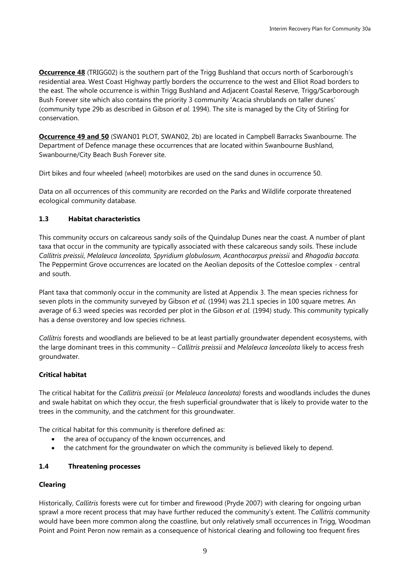**Occurrence 48** (TRIGG02) is the southern part of the Trigg Bushland that occurs north of Scarborough's residential area. West Coast Highway partly borders the occurrence to the west and Elliot Road borders to the east. The whole occurrence is within Trigg Bushland and Adjacent Coastal Reserve, Trigg/Scarborough Bush Forever site which also contains the priority 3 community 'Acacia shrublands on taller dunes' (community type 29b as described in Gibson *et al.* 1994). The site is managed by the City of Stirling for conservation.

**Occurrence 49 and 50** (SWAN01 PLOT, SWAN02, 2b) are located in Campbell Barracks Swanbourne. The Department of Defence manage these occurrences that are located within Swanbourne Bushland, Swanbourne/City Beach Bush Forever site.

Dirt bikes and four wheeled (wheel) motorbikes are used on the sand dunes in occurrence 50.

Data on all occurrences of this community are recorded on the Parks and Wildlife corporate threatened ecological community database.

## **1.3 Habitat characteristics**

This community occurs on calcareous sandy soils of the Quindalup Dunes near the coast. A number of plant taxa that occur in the community are typically associated with these calcareous sandy soils. These include *Callitris preissii*, *Melaleuca lanceolata, Spyridium globulosum, Acanthocarpus preissii* and *Rhagodia baccata.*  The Peppermint Grove occurrences are located on the Aeolian deposits of the Cottesloe complex - central and south.

Plant taxa that commonly occur in the community are listed at Appendix 3. The mean species richness for seven plots in the community surveyed by Gibson *et al.* (1994) was 21.1 species in 100 square metres. An average of 6.3 weed species was recorded per plot in the Gibson *et al.* (1994) study. This community typically has a dense overstorey and low species richness.

*Callitris* forests and woodlands are believed to be at least partially groundwater dependent ecosystems, with the large dominant trees in this community – *Callitris preissii* and *Melaleuca lanceolata* likely to access fresh groundwater.

## **Critical habitat**

The critical habitat for the *Callitris preissii* (or *Melaleuca lanceolata)* forests and woodlands includes the dunes and swale habitat on which they occur, the fresh superficial groundwater that is likely to provide water to the trees in the community, and the catchment for this groundwater.

The critical habitat for this community is therefore defined as:

- the area of occupancy of the known occurrences, and
- the catchment for the groundwater on which the community is believed likely to depend.

## **1.4 Threatening processes**

## **Clearing**

Historically, *Callitris* forests were cut for timber and firewood (Pryde 2007) with clearing for ongoing urban sprawl a more recent process that may have further reduced the community's extent. The *Callitris* community would have been more common along the coastline, but only relatively small occurrences in Trigg, Woodman Point and Point Peron now remain as a consequence of historical clearing and following too frequent fires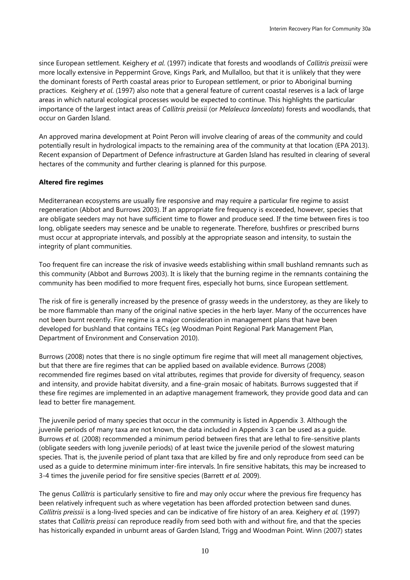since European settlement. Keighery *et al*. (1997) indicate that forests and woodlands of *Callitris preissii* were more locally extensive in Peppermint Grove, Kings Park, and Mullalloo, but that it is unlikely that they were the dominant forests of Perth coastal areas prior to European settlement, or prior to Aboriginal burning practices. Keighery *et al*. (1997) also note that a general feature of current coastal reserves is a lack of large areas in which natural ecological processes would be expected to continue. This highlights the particular importance of the largest intact areas of *Callitris preissii* (or *Melaleuca lanceolata*) forests and woodlands, that occur on Garden Island.

An approved marina development at Point Peron will involve clearing of areas of the community and could potentially result in hydrological impacts to the remaining area of the community at that location (EPA 2013). Recent expansion of Department of Defence infrastructure at Garden Island has resulted in clearing of several hectares of the community and further clearing is planned for this purpose.

## **Altered fire regimes**

Mediterranean ecosystems are usually fire responsive and may require a particular fire regime to assist regeneration (Abbot and Burrows 2003). If an appropriate fire frequency is exceeded, however, species that are obligate seeders may not have sufficient time to flower and produce seed. If the time between fires is too long, obligate seeders may senesce and be unable to regenerate. Therefore, bushfires or prescribed burns must occur at appropriate intervals, and possibly at the appropriate season and intensity, to sustain the integrity of plant communities.

Too frequent fire can increase the risk of invasive weeds establishing within small bushland remnants such as this community (Abbot and Burrows 2003). It is likely that the burning regime in the remnants containing the community has been modified to more frequent fires, especially hot burns, since European settlement.

The risk of fire is generally increased by the presence of grassy weeds in the understorey, as they are likely to be more flammable than many of the original native species in the herb layer. Many of the occurrences have not been burnt recently. Fire regime is a major consideration in management plans that have been developed for bushland that contains TECs (eg Woodman Point Regional Park Management Plan, Department of Environment and Conservation 2010).

Burrows (2008) notes that there is no single optimum fire regime that will meet all management objectives, but that there are fire regimes that can be applied based on available evidence. Burrows (2008) recommended fire regimes based on vital attributes, regimes that provide for diversity of frequency, season and intensity, and provide habitat diversity, and a fine-grain mosaic of habitats. Burrows suggested that if these fire regimes are implemented in an adaptive management framework, they provide good data and can lead to better fire management.

The juvenile period of many species that occur in the community is listed in Appendix 3. Although the juvenile periods of many taxa are not known, the data included in Appendix 3 can be used as a guide. Burrows *et al.* (2008) recommended a minimum period between fires that are lethal to fire-sensitive plants (obligate seeders with long juvenile periods) of at least twice the juvenile period of the slowest maturing species. That is, the juvenile period of plant taxa that are killed by fire and only reproduce from seed can be used as a guide to determine minimum inter-fire intervals. In fire sensitive habitats, this may be increased to 3-4 times the juvenile period for fire sensitive species (Barrett *et al.* 2009).

The genus *Callitris* is particularly sensitive to fire and may only occur where the previous fire frequency has been relatively infrequent such as where vegetation has been afforded protection between sand dunes. *Callitris preissii* is a long-lived species and can be indicative of fire history of an area. Keighery *et al.* (1997) states that *Callitris preissi* can reproduce readily from seed both with and without fire, and that the species has historically expanded in unburnt areas of Garden Island, Trigg and Woodman Point. Winn (2007) states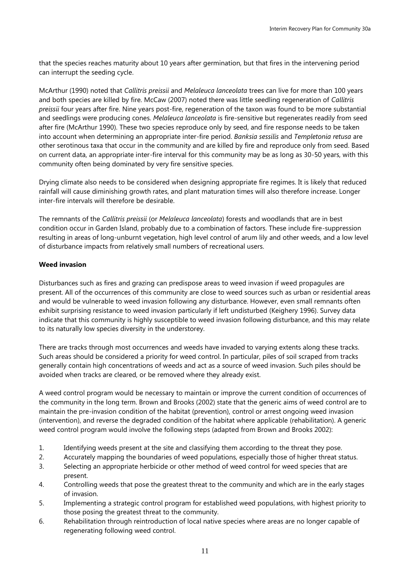that the species reaches maturity about 10 years after germination, but that fires in the intervening period can interrupt the seeding cycle.

McArthur (1990) noted that *Callitris preissii* and *Melaleuca lanceolata* trees can live for more than 100 years and both species are killed by fire. McCaw (2007) noted there was little seedling regeneration of *Callitris preissii* four years after fire. Nine years post-fire, regeneration of the taxon was found to be more substantial and seedlings were producing cones. *Melaleuca lanceolata* is fire-sensitive but regenerates readily from seed after fire (McArthur 1990). These two species reproduce only by seed, and fire response needs to be taken into account when determining an appropriate inter-fire period. *Banksia sessilis* and *Templetonia retusa* are other serotinous taxa that occur in the community and are killed by fire and reproduce only from seed. Based on current data, an appropriate inter-fire interval for this community may be as long as 30-50 years, with this community often being dominated by very fire sensitive species*.*

Drying climate also needs to be considered when designing appropriate fire regimes. It is likely that reduced rainfall will cause diminishing growth rates, and plant maturation times will also therefore increase. Longer inter-fire intervals will therefore be desirable.

The remnants of the *Callitris preissii* (or *Melaleuca lanceolata*) forests and woodlands that are in best condition occur in Garden Island, probably due to a combination of factors. These include fire-suppression resulting in areas of long-unburnt vegetation, high level control of arum lily and other weeds, and a low level of disturbance impacts from relatively small numbers of recreational users.

## **Weed invasion**

Disturbances such as fires and grazing can predispose areas to weed invasion if weed propagules are present. All of the occurrences of this community are close to weed sources such as urban or residential areas and would be vulnerable to weed invasion following any disturbance. However, even small remnants often exhibit surprising resistance to weed invasion particularly if left undisturbed (Keighery 1996). Survey data indicate that this community is highly susceptible to weed invasion following disturbance, and this may relate to its naturally low species diversity in the understorey.

There are tracks through most occurrences and weeds have invaded to varying extents along these tracks. Such areas should be considered a priority for weed control. In particular, piles of soil scraped from tracks generally contain high concentrations of weeds and act as a source of weed invasion. Such piles should be avoided when tracks are cleared, or be removed where they already exist.

A weed control program would be necessary to maintain or improve the current condition of occurrences of the community in the long term. Brown and Brooks (2002) state that the generic aims of weed control are to maintain the pre-invasion condition of the habitat (prevention), control or arrest ongoing weed invasion (intervention), and reverse the degraded condition of the habitat where applicable (rehabilitation). A generic weed control program would involve the following steps (adapted from Brown and Brooks 2002):

- 1. Identifying weeds present at the site and classifying them according to the threat they pose.
- 2. Accurately mapping the boundaries of weed populations, especially those of higher threat status.
- 3. Selecting an appropriate herbicide or other method of weed control for weed species that are present.
- 4. Controlling weeds that pose the greatest threat to the community and which are in the early stages of invasion.
- 5. Implementing a strategic control program for established weed populations, with highest priority to those posing the greatest threat to the community.
- 6. Rehabilitation through reintroduction of local native species where areas are no longer capable of regenerating following weed control.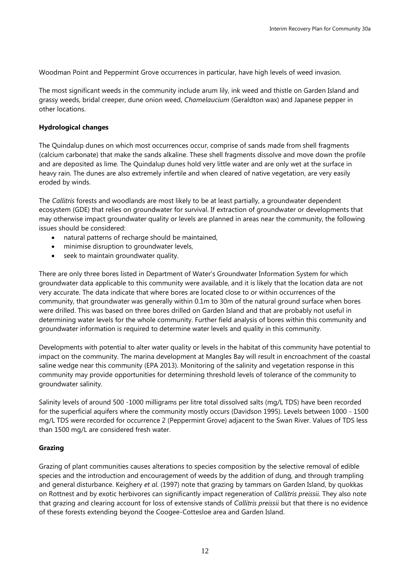Woodman Point and Peppermint Grove occurrences in particular, have high levels of weed invasion.

The most significant weeds in the community include arum lily, ink weed and thistle on Garden Island and grassy weeds, bridal creeper, dune onion weed, *Chamelaucium* (Geraldton wax) and Japanese pepper in other locations.

## **Hydrological changes**

The Quindalup dunes on which most occurrences occur, comprise of sands made from shell fragments (calcium carbonate) that make the sands alkaline. These shell fragments dissolve and move down the profile and are deposited as lime. The Quindalup dunes hold very little water and are only wet at the surface in heavy rain. The dunes are also extremely infertile and when cleared of native vegetation, are very easily eroded by winds.

The *Callitris* forests and woodlands are most likely to be at least partially, a groundwater dependent ecosystem (GDE) that relies on groundwater for survival. If extraction of groundwater or developments that may otherwise impact groundwater quality or levels are planned in areas near the community, the following issues should be considered:

- natural patterns of recharge should be maintained,
- minimise disruption to groundwater levels,
- seek to maintain groundwater quality.

There are only three bores listed in Department of Water's Groundwater Information System for which groundwater data applicable to this community were available, and it is likely that the location data are not very accurate. The data indicate that where bores are located close to or within occurrences of the community, that groundwater was generally within 0.1m to 30m of the natural ground surface when bores were drilled. This was based on three bores drilled on Garden Island and that are probably not useful in determining water levels for the whole community. Further field analysis of bores within this community and groundwater information is required to determine water levels and quality in this community.

Developments with potential to alter water quality or levels in the habitat of this community have potential to impact on the community. The marina development at Mangles Bay will result in encroachment of the coastal saline wedge near this community (EPA 2013). Monitoring of the salinity and vegetation response in this community may provide opportunities for determining threshold levels of tolerance of the community to groundwater salinity.

Salinity levels of around 500 -1000 milligrams per litre total dissolved salts (mg/L TDS) have been recorded for the superficial aquifers where the community mostly occurs (Davidson 1995). Levels between 1000 - 1500 mg/L TDS were recorded for occurrence 2 (Peppermint Grove) adjacent to the Swan River. Values of TDS less than 1500 mg/L are considered fresh water.

## **Grazing**

Grazing of plant communities causes alterations to species composition by the selective removal of edible species and the introduction and encouragement of weeds by the addition of dung, and through trampling and general disturbance. Keighery *et al*. (1997) note that grazing by tammars on Garden Island, by quokkas on Rottnest and by exotic herbivores can significantly impact regeneration of *Callitris preissii*. They also note that grazing and clearing account for loss of extensive stands of *Callitris preissii* but that there is no evidence of these forests extending beyond the Coogee-Cottesloe area and Garden Island.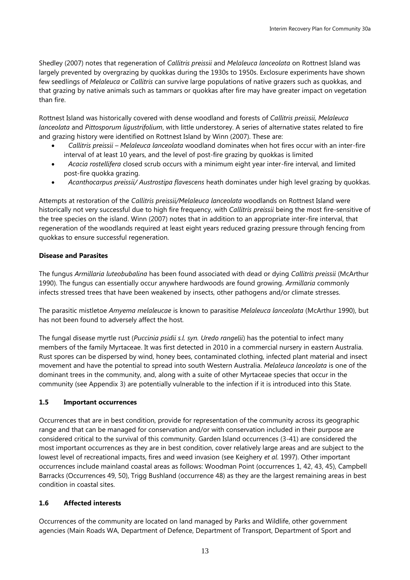Shedley (2007) notes that regeneration of *Callitris preissii* and *Melaleuca lanceolata* on Rottnest Island was largely prevented by overgrazing by quokkas during the 1930s to 1950s. Exclosure experiments have shown few seedlings of *Melaleuca* or *Callitris* can survive large populations of native grazers such as quokkas, and that grazing by native animals such as tammars or quokkas after fire may have greater impact on vegetation than fire.

Rottnest Island was historically covered with dense woodland and forests of *Callitris preissii*, *Melaleuca lanceolata* and *Pittosporum ligustrifolium*, with little understorey. A series of alternative states related to fire and grazing history were identified on Rottnest Island by Winn (2007). These are:

- *Callitris preissii – Melaleuca lanceolata* woodland dominates when hot fires occur with an inter-fire interval of at least 10 years, and the level of post-fire grazing by quokkas is limited
- *Acacia rostellifera* closed scrub occurs with a minimum eight year inter-fire interval, and limited post-fire quokka grazing.
- *Acanthocarpus preissii/ Austrostipa flavescens* heath dominates under high level grazing by quokkas.

Attempts at restoration of the *Callitris preissii/Melaleuca lanceolata* woodlands on Rottnest Island were historically not very successful due to high fire frequency, with *Callitris preissii* being the most fire-sensitive of the tree species on the island. Winn (2007) notes that in addition to an appropriate inter-fire interval, that regeneration of the woodlands required at least eight years reduced grazing pressure through fencing from quokkas to ensure successful regeneration.

## **Disease and Parasites**

The fungus *Armillaria luteobubalina* has been found associated with dead or dying *Callitris preissii* (McArthur 1990). The fungus can essentially occur anywhere hardwoods are found growing. *Armillaria* commonly infects stressed trees that have been weakened by [insects,](http://en.wikipedia.org/wiki/Insect) other [pathogens](http://en.wikipedia.org/wiki/Pathogen) and/or climate stresses.

The parasitic mistletoe *Amyema melaleucae* is known to parasitise *Melaleuca lanceolata* (McArthur 1990), but has not been found to adversely affect the host.

The fungal disease myrtle rust (*Puccinia psidii s.l. syn. Uredo rangelii*) has the potential to infect many members of the family Myrtaceae. It was first detected in 2010 in a commercial nursery in eastern Australia. Rust spores can be dispersed by wind, honey bees, contaminated clothing, infected plant material and insect movement and have the potential to spread into south Western Australia. *Melaleuca lanceolata* is one of the dominant trees in the community, and, along with a suite of other Myrtaceae species that occur in the community (see Appendix 3) are potentially vulnerable to the infection if it is introduced into this State.

## **1.5 Important occurrences**

Occurrences that are in best condition, provide for representation of the community across its geographic range and that can be managed for conservation and/or with conservation included in their purpose are considered critical to the survival of this community. Garden Island occurrences (3-41) are considered the most important occurrences as they are in best condition, cover relatively large areas and are subject to the lowest level of recreational impacts, fires and weed invasion (see Keighery *et al*. 1997). Other important occurrences include mainland coastal areas as follows: Woodman Point (occurrences 1, 42, 43, 45), Campbell Barracks (Occurrences 49, 50), Trigg Bushland (occurrence 48) as they are the largest remaining areas in best condition in coastal sites.

## **1.6 Affected interests**

Occurrences of the community are located on land managed by Parks and Wildlife, other government agencies (Main Roads WA, Department of Defence, Department of Transport, Department of Sport and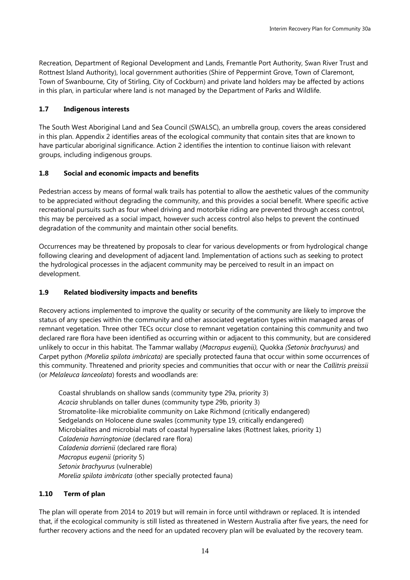Recreation, Department of Regional Development and Lands, Fremantle Port Authority, Swan River Trust and Rottnest Island Authority), local government authorities (Shire of Peppermint Grove, Town of Claremont, Town of Swanbourne, City of Stirling, City of Cockburn) and private land holders may be affected by actions in this plan, in particular where land is not managed by the Department of Parks and Wildlife.

## **1.7 Indigenous interests**

The South West Aboriginal Land and Sea Council (SWALSC), an umbrella group, covers the areas considered in this plan. Appendix 2 identifies areas of the ecological community that contain sites that are known to have particular aboriginal significance. Action 2 identifies the intention to continue liaison with relevant groups, including indigenous groups.

## **1.8 Social and economic impacts and benefits**

Pedestrian access by means of formal walk trails has potential to allow the aesthetic values of the community to be appreciated without degrading the community, and this provides a social benefit. Where specific active recreational pursuits such as four wheel driving and motorbike riding are prevented through access control, this may be perceived as a social impact, however such access control also helps to prevent the continued degradation of the community and maintain other social benefits.

Occurrences may be threatened by proposals to clear for various developments or from hydrological change following clearing and development of adjacent land. Implementation of actions such as seeking to protect the hydrological processes in the adjacent community may be perceived to result in an impact on development.

## **1.9 Related biodiversity impacts and benefits**

Recovery actions implemented to improve the quality or security of the community are likely to improve the status of any species within the community and other associated vegetation types within managed areas of remnant vegetation. Three other TECs occur close to remnant vegetation containing this community and two declared rare flora have been identified as occurring within or adjacent to this community, but are considered unlikely to occur in this habitat. The Tammar wallaby (*Macropus eugenii),* Quokka *(Setonix brachyurus)* and Carpet python *(Morelia spilota imbricata)* are specially protected fauna that occur within some occurrences of this community. Threatened and priority species and communities that occur with or near the *Callitris preissii*  (or *Melaleuca lanceolata*) forests and woodlands are:

Coastal shrublands on shallow sands (community type 29a, priority 3) *Acacia* shrublands on taller dunes (community type 29b, priority 3) Stromatolite-like microbialite community on Lake Richmond (critically endangered) Sedgelands on Holocene dune swales (community type 19, critically endangered) Microbialites and microbial mats of coastal hypersaline lakes (Rottnest lakes, priority 1) *Caladenia harringtoniae* (declared rare flora) *Caladenia dorrienii* (declared rare flora) *Macropus eugenii* (priority 5) *Setonix brachyurus* (vulnerable) *Morelia spilota imbricata* (other specially protected fauna)

## **1.10 Term of plan**

The plan will operate from 2014 to 2019 but will remain in force until withdrawn or replaced. It is intended that, if the ecological community is still listed as threatened in Western Australia after five years, the need for further recovery actions and the need for an updated recovery plan will be evaluated by the recovery team.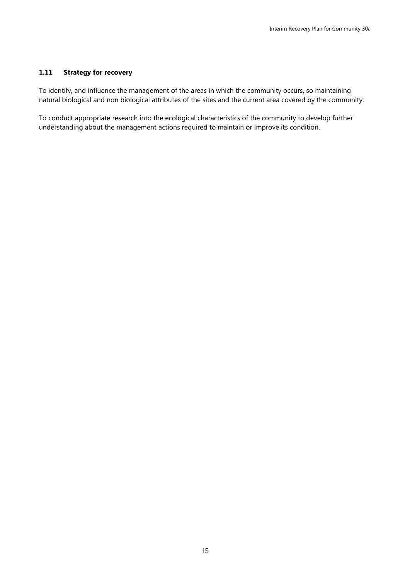## **1.11 Strategy for recovery**

To identify, and influence the management of the areas in which the community occurs, so maintaining natural biological and non biological attributes of the sites and the current area covered by the community.

To conduct appropriate research into the ecological characteristics of the community to develop further understanding about the management actions required to maintain or improve its condition.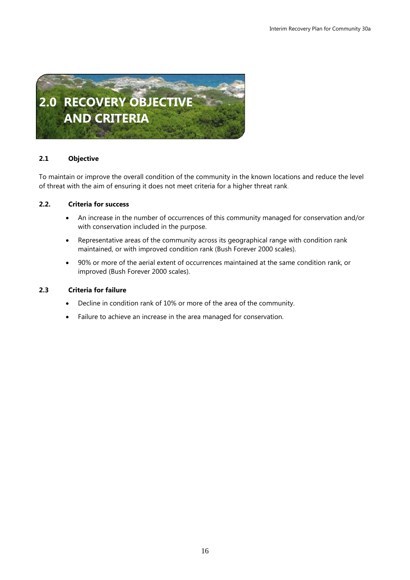

## **2.1 Objective**

To maintain or improve the overall condition of the community in the known locations and reduce the level of threat with the aim of ensuring it does not meet criteria for a higher threat rank.

## **2.2. Criteria for success**

- An increase in the number of occurrences of this community managed for conservation and/or with conservation included in the purpose.
- Representative areas of the community across its geographical range with condition rank maintained, or with improved condition rank (Bush Forever 2000 scales).
- 90% or more of the aerial extent of occurrences maintained at the same condition rank, or improved (Bush Forever 2000 scales).

## **2.3 Criteria for failure**

- Decline in condition rank of 10% or more of the area of the community.
- Failure to achieve an increase in the area managed for conservation.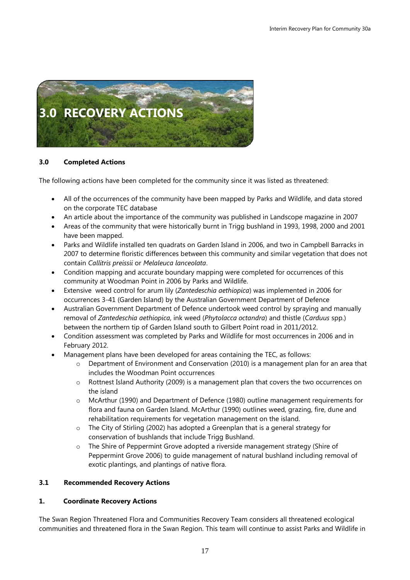

## **3.0 Completed Actions**

The following actions have been completed for the community since it was listed as threatened:

- All of the occurrences of the community have been mapped by Parks and Wildlife, and data stored on the corporate TEC database
- An article about the importance of the community was published in Landscope magazine in 2007
- Areas of the community that were historically burnt in Trigg bushland in 1993, 1998, 2000 and 2001 have been mapped.
- Parks and Wildlife installed ten quadrats on Garden Island in 2006, and two in Campbell Barracks in 2007 to determine floristic differences between this community and similar vegetation that does not contain *Callitris preissii* or *Melaleuca lanceolata*.
- Condition mapping and accurate boundary mapping were completed for occurrences of this community at Woodman Point in 2006 by Parks and Wildlife.
- Extensive weed control for arum lily (*Zantedeschia aethiopica*) was implemented in 2006 for occurrences 3-41 (Garden Island) by the Australian Government Department of Defence
- Australian Government Department of Defence undertook weed control by spraying and manually removal of *Zantedeschia aethiopica*, ink weed (*Phytolacca octandra*) and thistle (*Carduus* spp.) between the northern tip of Garden Island south to Gilbert Point road in 2011/2012.
- Condition assessment was completed by Parks and Wildlife for most occurrences in 2006 and in February 2012.
- Management plans have been developed for areas containing the TEC, as follows:
	- $\circ$  Department of Environment and Conservation (2010) is a management plan for an area that includes the Woodman Point occurrences
	- o Rottnest Island Authority (2009) is a management plan that covers the two occurrences on the island
	- o McArthur (1990) and Department of Defence (1980) outline management requirements for flora and fauna on Garden Island. McArthur (1990) outlines weed, grazing, fire, dune and rehabilitation requirements for vegetation management on the island.
	- o The City of Stirling (2002) has adopted a Greenplan that is a general strategy for conservation of bushlands that include Trigg Bushland.
	- o The Shire of Peppermint Grove adopted a riverside management strategy (Shire of Peppermint Grove 2006) to guide management of natural bushland including removal of exotic plantings, and plantings of native flora.

## **3.1 Recommended Recovery Actions**

## **1. Coordinate Recovery Actions**

The Swan Region Threatened Flora and Communities Recovery Team considers all threatened ecological communities and threatened flora in the Swan Region. This team will continue to assist Parks and Wildlife in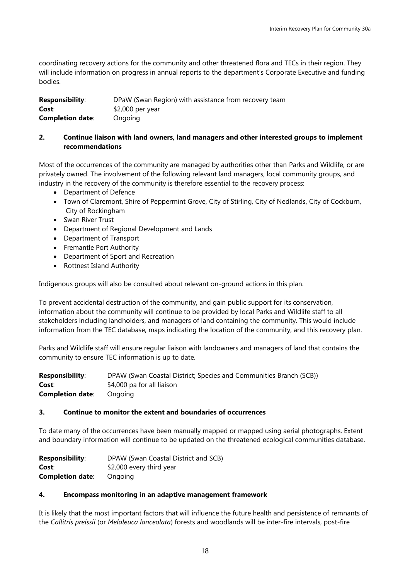coordinating recovery actions for the community and other threatened flora and TECs in their region. They will include information on progress in annual reports to the department's Corporate Executive and funding bodies.

| <b>Responsibility:</b>  | DPaW (Swan Region) with assistance from recovery team |
|-------------------------|-------------------------------------------------------|
| Cost:                   | $$2,000$ per year                                     |
| <b>Completion date:</b> | Ongoing                                               |

## **2. Continue liaison with land owners, land managers and other interested groups to implement recommendations**

Most of the occurrences of the community are managed by authorities other than Parks and Wildlife, or are privately owned. The involvement of the following relevant land managers, local community groups, and industry in the recovery of the community is therefore essential to the recovery process:

- Department of Defence
- Town of Claremont, Shire of Peppermint Grove, City of Stirling, City of Nedlands, City of Cockburn, City of Rockingham
- Swan River Trust
- Department of Regional Development and Lands
- Department of Transport
- Fremantle Port Authority
- Department of Sport and Recreation
- Rottnest Island Authority

Indigenous groups will also be consulted about relevant on-ground actions in this plan.

To prevent accidental destruction of the community, and gain public support for its conservation, information about the community will continue to be provided by local Parks and Wildlife staff to all stakeholders including landholders, and managers of land containing the community. This would include information from the TEC database, maps indicating the location of the community, and this recovery plan.

Parks and Wildlife staff will ensure regular liaison with landowners and managers of land that contains the community to ensure TEC information is up to date.

| <b>Responsibility:</b>  | DPAW (Swan Coastal District; Species and Communities Branch (SCB)) |
|-------------------------|--------------------------------------------------------------------|
| Cost:                   | \$4,000 pa for all liaison                                         |
| <b>Completion date:</b> | Ongoing                                                            |

## **3. Continue to monitor the extent and boundaries of occurrences**

To date many of the occurrences have been manually mapped or mapped using aerial photographs. Extent and boundary information will continue to be updated on the threatened ecological communities database.

| <b>Responsibility:</b>  | DPAW (Swan Coastal District and SCB) |
|-------------------------|--------------------------------------|
| Cost:                   | \$2,000 every third year             |
| <b>Completion date:</b> | Ongoing                              |

## **4. Encompass monitoring in an adaptive management framework**

It is likely that the most important factors that will influence the future health and persistence of remnants of the *Callitris preissii* (or *Melaleuca lanceolata*) forests and woodlands will be inter-fire intervals, post-fire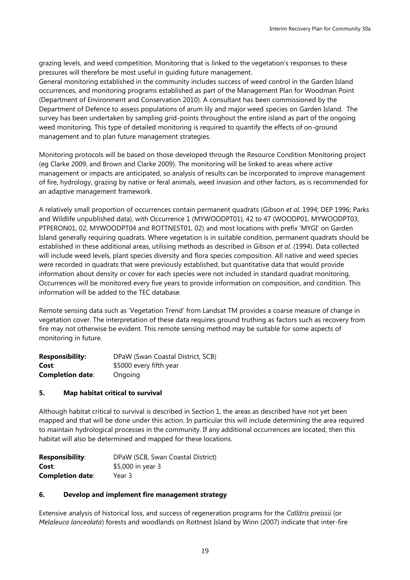grazing levels, and weed competition. Monitoring that is linked to the vegetation's responses to these pressures will therefore be most useful in guiding future management.

General monitoring established in the community includes success of weed control in the Garden Island occurrences, and monitoring programs established as part of the Management Plan for Woodman Point (Department of Environment and Conservation 2010). A consultant has been commissioned by the Department of Defence to assess populations of arum lily and major weed species on Garden Island. The survey has been undertaken by sampling grid-points throughout the entire island as part of the ongoing weed monitoring. This type of detailed monitoring is required to quantify the effects of on-ground management and to plan future management strategies.

Monitoring protocols will be based on those developed through the Resource Condition Monitoring project (eg Clarke 2009, and Brown and Clarke 2009). The monitoring will be linked to areas where active management or impacts are anticipated, so analysis of results can be incorporated to improve management of fire, hydrology, grazing by native or feral animals, weed invasion and other factors, as is recommended for an adaptive management framework.

A relatively small proportion of occurrences contain permanent quadrats (Gibson *et al.* 1994; DEP 1996; Parks and Wildlife unpublished data), with Occurrence 1 (MYWOODPT01), 42 to 47 (WOODP01, MYWOODPT03, PTPERON01, 02, MYWOODPT04 and ROTTNEST01, 02) and most locations with prefix 'MYGI' on Garden Island generally requiring quadrats. Where vegetation is in suitable condition, permanent quadrats should be established in these additional areas, utilising methods as described in Gibson *et al*. (1994). Data collected will include weed levels, plant species diversity and flora species composition. All native and weed species were recorded in quadrats that were previously established, but quantitative data that would provide information about density or cover for each species were not included in standard quadrat monitoring. Occurrences will be monitored every five years to provide information on composition, and condition. This information will be added to the TEC database.

Remote sensing data such as 'Vegetation Trend' from Landsat TM provides a coarse measure of change in vegetation cover. The interpretation of these data requires ground truthing as factors such as recovery from fire may not otherwise be evident. This remote sensing method may be suitable for some aspects of monitoring in future.

| <b>Responsibility:</b>  | DPaW (Swan Coastal District, SCB) |
|-------------------------|-----------------------------------|
| Cost:                   | \$5000 every fifth year           |
| <b>Completion date:</b> | Ongoing                           |

## **5. Map habitat critical to survival**

Although habitat critical to survival is described in Section 1, the areas as described have not yet been mapped and that will be done under this action. In particular this will include determining the area required to maintain hydrological processes in the community. If any additional occurrences are located, then this habitat will also be determined and mapped for these locations.

| <b>Responsibility:</b>  | DPaW (SCB, Swan Coastal District) |
|-------------------------|-----------------------------------|
| Cost:                   | \$5,000 in year 3                 |
| <b>Completion date:</b> | Year 3                            |

## **6. Develop and implement fire management strategy**

Extensive analysis of historical loss, and success of regeneration programs for the *Callitris preissii* (or *Melaleuca lanceolata*) forests and woodlands on Rottnest Island by Winn (2007) indicate that inter-fire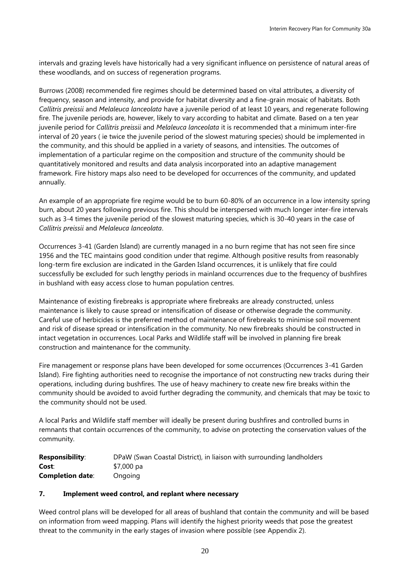intervals and grazing levels have historically had a very significant influence on persistence of natural areas of these woodlands, and on success of regeneration programs.

Burrows (2008) recommended fire regimes should be determined based on vital attributes, a diversity of frequency, season and intensity, and provide for habitat diversity and a fine-grain mosaic of habitats. Both *Callitris preissii* and *Melaleuca lanceolata* have a juvenile period of at least 10 years, and regenerate following fire. The juvenile periods are, however, likely to vary according to habitat and climate. Based on a ten year juvenile period for *Callitris preissii* and *Melaleuca lanceolata* it is recommended that a minimum inter-fire interval of 20 years ( ie twice the juvenile period of the slowest maturing species) should be implemented in the community, and this should be applied in a variety of seasons, and intensities. The outcomes of implementation of a particular regime on the composition and structure of the community should be quantitatively monitored and results and data analysis incorporated into an adaptive management framework. Fire history maps also need to be developed for occurrences of the community, and updated annually.

An example of an appropriate fire regime would be to burn 60-80% of an occurrence in a low intensity spring burn, about 20 years following previous fire. This should be interspersed with much longer inter-fire intervals such as 3-4 times the juvenile period of the slowest maturing species, which is 30-40 years in the case of *Callitris preissii* and *Melaleuca lanceolata*.

Occurrences 3-41 (Garden Island) are currently managed in a no burn regime that has not seen fire since 1956 and the TEC maintains good condition under that regime. Although positive results from reasonably long-term fire exclusion are indicated in the Garden Island occurrences, it is unlikely that fire could successfully be excluded for such lengthy periods in mainland occurrences due to the frequency of bushfires in bushland with easy access close to human population centres.

Maintenance of existing firebreaks is appropriate where firebreaks are already constructed, unless maintenance is likely to cause spread or intensification of disease or otherwise degrade the community. Careful use of herbicides is the preferred method of maintenance of firebreaks to minimise soil movement and risk of disease spread or intensification in the community. No new firebreaks should be constructed in intact vegetation in occurrences. Local Parks and Wildlife staff will be involved in planning fire break construction and maintenance for the community.

Fire management or response plans have been developed for some occurrences (Occurrences 3-41 Garden Island). Fire fighting authorities need to recognise the importance of not constructing new tracks during their operations, including during bushfires. The use of heavy machinery to create new fire breaks within the community should be avoided to avoid further degrading the community, and chemicals that may be toxic to the community should not be used.

A local Parks and Wildlife staff member will ideally be present during bushfires and controlled burns in remnants that contain occurrences of the community, to advise on protecting the conservation values of the community.

| <b>Responsibility:</b>  | DPaW (Swan Coastal District), in liaison with surrounding landholders |
|-------------------------|-----------------------------------------------------------------------|
| Cost:                   | \$7,000 pa                                                            |
| <b>Completion date:</b> | Ongoing                                                               |

## **7. Implement weed control, and replant where necessary**

Weed control plans will be developed for all areas of bushland that contain the community and will be based on information from weed mapping. Plans will identify the highest priority weeds that pose the greatest threat to the community in the early stages of invasion where possible (see Appendix 2).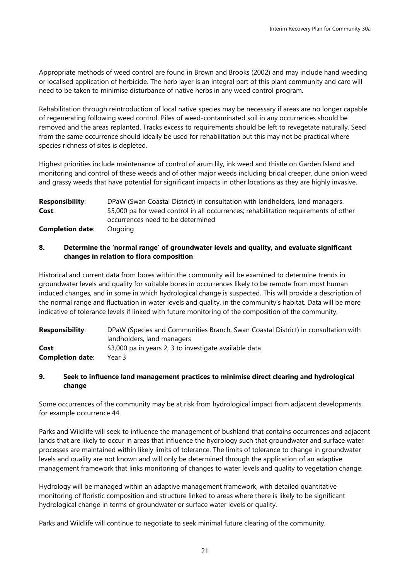Appropriate methods of weed control are found in Brown and Brooks (2002) and may include hand weeding or localised application of herbicide. The herb layer is an integral part of this plant community and care will need to be taken to minimise disturbance of native herbs in any weed control program.

Rehabilitation through reintroduction of local native species may be necessary if areas are no longer capable of regenerating following weed control. Piles of weed-contaminated soil in any occurrences should be removed and the areas replanted. Tracks excess to requirements should be left to revegetate naturally. Seed from the same occurrence should ideally be used for rehabilitation but this may not be practical where species richness of sites is depleted.

Highest priorities include maintenance of control of arum lily, ink weed and thistle on Garden Island and monitoring and control of these weeds and of other major weeds including bridal creeper, dune onion weed and grassy weeds that have potential for significant impacts in other locations as they are highly invasive.

| <b>Responsibility:</b>  | DPaW (Swan Coastal District) in consultation with landholders, land managers.        |
|-------------------------|--------------------------------------------------------------------------------------|
| Cost:                   | \$5,000 pa for weed control in all occurrences; rehabilitation requirements of other |
|                         | occurrences need to be determined                                                    |
| <b>Completion date:</b> | Ongoing                                                                              |

## **8. Determine the 'normal range' of groundwater levels and quality, and evaluate significant changes in relation to flora composition**

Historical and current data from bores within the community will be examined to determine trends in groundwater levels and quality for suitable bores in occurrences likely to be remote from most human induced changes, and in some in which hydrological change is suspected. This will provide a description of the normal range and fluctuation in water levels and quality, in the community's habitat. Data will be more indicative of tolerance levels if linked with future monitoring of the composition of the community.

| <b>Responsibility:</b>  | DPaW (Species and Communities Branch, Swan Coastal District) in consultation with |
|-------------------------|-----------------------------------------------------------------------------------|
|                         | landholders, land managers                                                        |
| Cost:                   | \$3,000 pa in years 2, 3 to investigate available data                            |
| <b>Completion date:</b> | Year 3                                                                            |

## **9. Seek to influence land management practices to minimise direct clearing and hydrological change**

Some occurrences of the community may be at risk from hydrological impact from adjacent developments, for example occurrence 44.

Parks and Wildlife will seek to influence the management of bushland that contains occurrences and adjacent lands that are likely to occur in areas that influence the hydrology such that groundwater and surface water processes are maintained within likely limits of tolerance. The limits of tolerance to change in groundwater levels and quality are not known and will only be determined through the application of an adaptive management framework that links monitoring of changes to water levels and quality to vegetation change.

Hydrology will be managed within an adaptive management framework, with detailed quantitative monitoring of floristic composition and structure linked to areas where there is likely to be significant hydrological change in terms of groundwater or surface water levels or quality.

Parks and Wildlife will continue to negotiate to seek minimal future clearing of the community.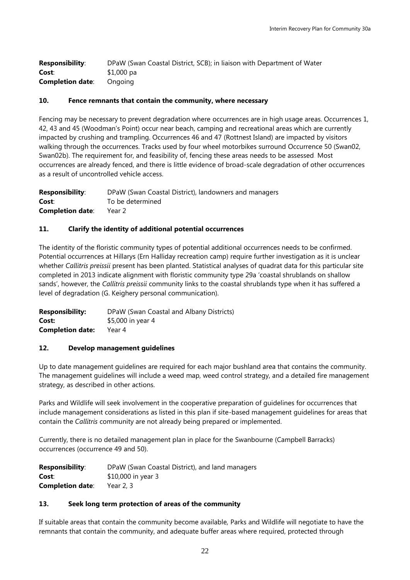| <b>Responsibility:</b>  | DPaW (Swan Coastal District, SCB); in liaison with Department of Water |
|-------------------------|------------------------------------------------------------------------|
| Cost:                   | \$1,000 pa                                                             |
| <b>Completion date:</b> | Onaoina                                                                |

## **10. Fence remnants that contain the community, where necessary**

Fencing may be necessary to prevent degradation where occurrences are in high usage areas. Occurrences 1, 42, 43 and 45 (Woodman's Point) occur near beach, camping and recreational areas which are currently impacted by crushing and trampling. Occurrences 46 and 47 (Rottnest Island) are impacted by visitors walking through the occurrences. Tracks used by four wheel motorbikes surround Occurrence 50 (Swan02, Swan02b). The requirement for, and feasibility of, fencing these areas needs to be assessed. Most occurrences are already fenced, and there is little evidence of broad-scale degradation of other occurrences as a result of uncontrolled vehicle access.

| <b>Responsibility:</b>  | DPaW (Swan Coastal District), landowners and managers |
|-------------------------|-------------------------------------------------------|
| Cost:                   | To be determined                                      |
| <b>Completion date:</b> | Year 2                                                |

## **11. Clarify the identity of additional potential occurrences**

The identity of the floristic community types of potential additional occurrences needs to be confirmed. Potential occurrences at Hillarys (Ern Halliday recreation camp) require further investigation as it is unclear whether *Callitris preissii* present has been planted. Statistical analyses of quadrat data for this particular site completed in 2013 indicate alignment with floristic community type 29a 'coastal shrublands on shallow sands', however, the *Callitris preissii* community links to the coastal shrublands type when it has suffered a level of degradation (G. Keighery personal communication).

**Responsibility:** DPaW (Swan Coastal and Albany Districts) **Cost:**  $$5,000$  in year 4 **Completion date:** Year 4

## **12. Develop management guidelines**

Up to date management guidelines are required for each major bushland area that contains the community. The management guidelines will include a weed map, weed control strategy, and a detailed fire management strategy, as described in other actions.

Parks and Wildlife will seek involvement in the cooperative preparation of guidelines for occurrences that include management considerations as listed in this plan if site-based management guidelines for areas that contain the *Callitris* community are not already being prepared or implemented.

Currently, there is no detailed management plan in place for the Swanbourne (Campbell Barracks) occurrences (occurrence 49 and 50).

| <b>Responsibility:</b>  | DPaW (Swan Coastal District), and land managers |
|-------------------------|-------------------------------------------------|
| Cost:                   | \$10,000 in year 3                              |
| <b>Completion date:</b> | Year $2, 3$                                     |

## **13. Seek long term protection of areas of the community**

If suitable areas that contain the community become available, Parks and Wildlife will negotiate to have the remnants that contain the community, and adequate buffer areas where required, protected through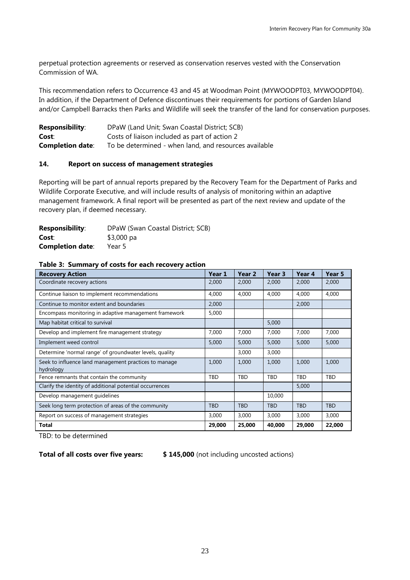perpetual protection agreements or reserved as conservation reserves vested with the Conservation Commission of WA.

This recommendation refers to Occurrence 43 and 45 at Woodman Point (MYWOODPT03, MYWOODPT04). In addition, if the Department of Defence discontinues their requirements for portions of Garden Island and/or Campbell Barracks then Parks and Wildlife will seek the transfer of the land for conservation purposes.

| <b>Responsibility:</b>  | DPaW (Land Unit; Swan Coastal District; SCB)          |
|-------------------------|-------------------------------------------------------|
| Cost:                   | Costs of liaison included as part of action 2         |
| <b>Completion date:</b> | To be determined - when land, and resources available |

#### **14. Report on success of management strategies**

Reporting will be part of annual reports prepared by the Recovery Team for the Department of Parks and Wildlife Corporate Executive, and will include results of analysis of monitoring within an adaptive management framework. A final report will be presented as part of the next review and update of the recovery plan, if deemed necessary.

| <b>Responsibility:</b>  | DPaW (Swan Coastal District; SCB) |
|-------------------------|-----------------------------------|
| Cost:                   | $$3,000$ pa                       |
| <b>Completion date:</b> | Year 5                            |

| <b>Recovery Action</b>                                             | Year 1     | Year 2     | Year 3     | Year <sub>4</sub> | Year 5     |
|--------------------------------------------------------------------|------------|------------|------------|-------------------|------------|
| Coordinate recovery actions                                        | 2,000      | 2,000      | 2,000      | 2,000             | 2,000      |
| Continue liaison to implement recommendations                      | 4,000      | 4,000      | 4,000      | 4,000             | 4,000      |
| Continue to monitor extent and boundaries                          | 2,000      |            |            | 2,000             |            |
| Encompass monitoring in adaptive management framework              | 5,000      |            |            |                   |            |
| Map habitat critical to survival                                   |            |            | 5,000      |                   |            |
| Develop and implement fire management strategy                     | 7,000      | 7,000      | 7,000      | 7,000             | 7,000      |
| Implement weed control                                             | 5,000      | 5,000      | 5,000      | 5,000             | 5,000      |
| Determine 'normal range' of groundwater levels, quality            |            | 3,000      | 3,000      |                   |            |
| Seek to influence land management practices to manage<br>hydrology | 1,000      | 1,000      | 1,000      | 1,000             | 1,000      |
| Fence remnants that contain the community                          | TBD        | TBD        | TBD        | TBD               | <b>TBD</b> |
| Clarify the identity of additional potential occurrences           |            |            |            | 5,000             |            |
| Develop management guidelines                                      |            |            | 10,000     |                   |            |
| Seek long term protection of areas of the community                | <b>TBD</b> | <b>TBD</b> | <b>TBD</b> | <b>TBD</b>        | <b>TBD</b> |
| Report on success of management strategies                         | 3,000      | 3,000      | 3,000      | 3,000             | 3,000      |
| Total                                                              | 29,000     | 25,000     | 40,000     | 29,000            | 22,000     |

#### **Table 3: Summary of costs for each recovery action**

TBD: to be determined

**Total of all costs over five years: \$ 145,000** (not including uncosted actions)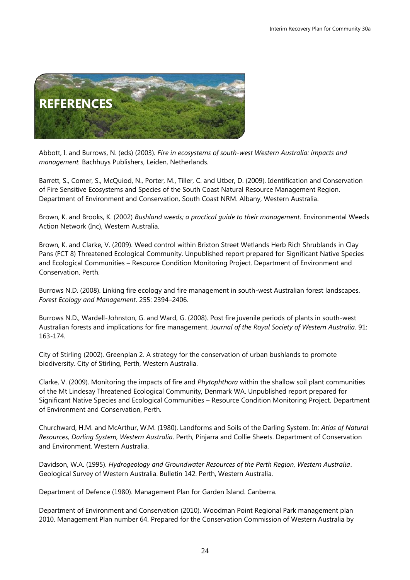

Abbott, I. and Burrows, N. (eds) (2003)*. Fire in ecosystems of south-west Western Australia: impacts and management.* Bachhuys Publishers, Leiden, Netherlands.

Barrett, S., Comer, S., McQuiod, N., Porter, M., Tiller, C. and Utber, D. (2009). Identification and Conservation of Fire Sensitive Ecosystems and Species of the South Coast Natural Resource Management Region. Department of Environment and Conservation, South Coast NRM. Albany, Western Australia.

Brown, K. and Brooks, K. (2002) *Bushland weeds; a practical guide to their management*. Environmental Weeds Action Network (Inc), Western Australia.

Brown, K. and Clarke, V. (2009). Weed control within Brixton Street Wetlands Herb Rich Shrublands in Clay Pans (FCT 8) Threatened Ecological Community. Unpublished report prepared for Significant Native Species and Ecological Communities – Resource Condition Monitoring Project. Department of Environment and Conservation, Perth.

Burrows N.D. (2008). Linking fire ecology and fire management in south-west Australian forest landscapes. *Forest Ecology and Management*. 255: 2394–2406.

Burrows N.D., Wardell-Johnston, G. and Ward, G. (2008). Post fire juvenile periods of plants in south-west Australian forests and implications for fire management. *Journal of the Royal Society of Western Australia*. 91: 163-174.

City of Stirling (2002). Greenplan 2. A strategy for the conservation of urban bushlands to promote biodiversity. City of Stirling, Perth, Western Australia.

Clarke, V. (2009). Monitoring the impacts of fire and *Phytophthora* within the shallow soil plant communities of the Mt Lindesay Threatened Ecological Community, Denmark WA. Unpublished report prepared for Significant Native Species and Ecological Communities – Resource Condition Monitoring Project. Department of Environment and Conservation, Perth.

Churchward, H.M. and McArthur, W.M. (1980). Landforms and Soils of the Darling System. In: *Atlas of Natural Resources, Darling System, Western Australia*. Perth, Pinjarra and Collie Sheets. Department of Conservation and Environment, Western Australia.

Davidson, W.A. (1995). *Hydrogeology and Groundwater Resources of the Perth Region, Western Australia*. Geological Survey of Western Australia. Bulletin 142. Perth, Western Australia.

Department of Defence (1980). Management Plan for Garden Island. Canberra.

Department of Environment and Conservation (2010). Woodman Point Regional Park management plan 2010. Management Plan number 64. Prepared for the Conservation Commission of Western Australia by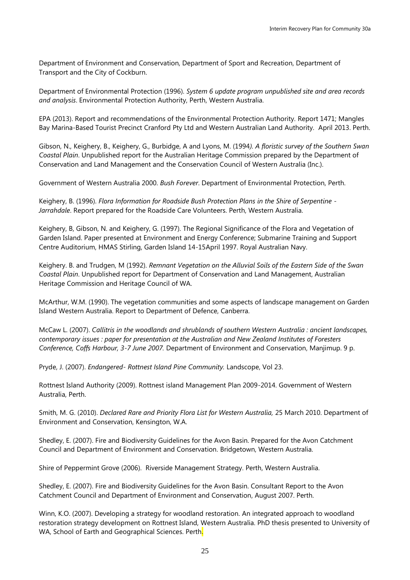Department of Environment and Conservation, Department of Sport and Recreation, Department of Transport and the City of Cockburn.

Department of Environmental Protection (1996). *System 6 update program unpublished site and area records and analysis*. Environmental Protection Authority, Perth, Western Australia.

EPA (2013). Report and recommendations of the Environmental Protection Authority. Report 1471; Mangles Bay Marina-Based Tourist Precinct Cranford Pty Ltd and Western Australian Land Authority. April 2013. Perth.

Gibson, N., Keighery, B., Keighery, G., Burbidge, A and Lyons, M. (1994*). A floristic survey of the Southern Swan Coastal Plain*. Unpublished report for the Australian Heritage Commission prepared by the Department of Conservation and Land Management and the Conservation Council of Western Australia (Inc.).

Government of Western Australia 2000. *Bush Forever*. Department of Environmental Protection, Perth.

Keighery, B. (1996). *Flora Information for Roadside Bush Protection Plans in the Shire of Serpentine - Jarrahdale*. Report prepared for the Roadside Care Volunteers. Perth, Western Australia.

Keighery, B, Gibson, N. and Keighery, G. (1997). The Regional Significance of the Flora and Vegetation of Garden Island. Paper presented at Environment and Energy Conference; Submarine Training and Support Centre Auditorium, HMAS Stirling, Garden Island 14-15April 1997. Royal Australian Navy.

Keighery. B. and Trudgen, M (1992). *Remnant Vegetation on the Alluvial Soils of the Eastern Side of the Swan Coastal Plain*. Unpublished report for Department of Conservation and Land Management, Australian Heritage Commission and Heritage Council of WA.

McArthur, W.M. (1990). The vegetation communities and some aspects of landscape management on Garden Island Western Australia. Report to Department of Defence, Canberra.

McCaw L. (2007). *Callitris in the woodlands and shrublands of southern Western Australia : ancient landscapes, contemporary issues : paper for presentation at the Australian and New Zealand Institutes of Foresters Conference, Coffs Harbour, 3-7 June 2007.* Department of Environment and Conservation, Manjimup. 9 p.

Pryde, J. (2007). *Endangered- Rottnest Island Pine Community.* Landscope, Vol 23.

Rottnest Island Authority (2009). Rottnest island Management Plan 2009-2014. Government of Western Australia, Perth.

Smith, M. G. (2010). *Declared Rare and Priority Flora List for Western Australia,* 25 March 2010. Department of Environment and Conservation, Kensington, W.A.

Shedley, E. (2007). Fire and Biodiversity Guidelines for the Avon Basin. Prepared for the Avon Catchment Council and Department of Environment and Conservation. Bridgetown, Western Australia.

Shire of Peppermint Grove (2006). Riverside Management Strategy. Perth, Western Australia.

Shedley, E. (2007). Fire and Biodiversity Guidelines for the Avon Basin. Consultant Report to the Avon Catchment Council and Department of Environment and Conservation, August 2007. Perth.

Winn, K.O. (2007). Developing a strategy for woodland restoration. An integrated approach to woodland restoration strategy development on Rottnest Island, Western Australia. PhD thesis presented to University of WA, School of Earth and Geographical Sciences. Perth.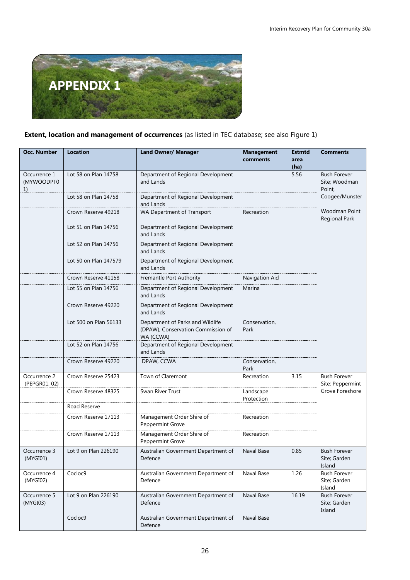

## **Extent, location and management of occurrences** (as listed in TEC database; see also Figure 1)

| <b>Occ. Number</b>               | <b>Location</b>       | <b>Land Owner/ Manager</b>                                                          | <b>Management</b><br>comments | <b>Estmtd</b><br>area<br>(ha)                  | <b>Comments</b>                               |
|----------------------------------|-----------------------|-------------------------------------------------------------------------------------|-------------------------------|------------------------------------------------|-----------------------------------------------|
| Occurrence 1<br>(MYWOODPT0<br>1) | Lot 58 on Plan 14758  |                                                                                     | 5.56                          | <b>Bush Forever</b><br>Site; Woodman<br>Point, |                                               |
|                                  | Lot 58 on Plan 14758  | Department of Regional Development<br>and Lands                                     |                               |                                                | Coogee/Munster                                |
|                                  | Crown Reserve 49218   | WA Department of Transport                                                          | Recreation                    |                                                | Woodman Point<br><b>Regional Park</b>         |
|                                  | Lot 51 on Plan 14756  | Department of Regional Development<br>and Lands                                     |                               |                                                |                                               |
|                                  | Lot 52 on Plan 14756  | Department of Regional Development<br>and Lands                                     |                               |                                                |                                               |
|                                  | Lot 50 on Plan 147579 | Department of Regional Development<br>and Lands                                     |                               |                                                |                                               |
|                                  | Crown Reserve 41158   | Fremantle Port Authority                                                            | Navigation Aid                |                                                |                                               |
|                                  | Lot 55 on Plan 14756  | Department of Regional Development<br>and Lands                                     | Marina                        |                                                |                                               |
|                                  | Crown Reserve 49220   | Department of Regional Development<br>and Lands                                     |                               |                                                |                                               |
|                                  | Lot 500 on Plan 56133 | Department of Parks and Wildlife<br>(DPAW), Conservation Commission of<br>WA (CCWA) | Conservation,<br>Park         |                                                |                                               |
|                                  | Lot 52 on Plan 14756  | Department of Regional Development<br>and Lands                                     |                               |                                                |                                               |
|                                  | Crown Reserve 49220   | DPAW, CCWA                                                                          | Conservation,<br>Park         |                                                |                                               |
| Occurrence 2<br>(PEPGR01, 02)    | Crown Reserve 25423   | Town of Claremont                                                                   | Recreation                    | 3.15                                           | <b>Bush Forever</b><br>Site; Peppermint       |
|                                  | Crown Reserve 48325   | Swan River Trust                                                                    | Landscape<br>Protection       |                                                | Grove Foreshore                               |
|                                  | Road Reserve          |                                                                                     |                               |                                                |                                               |
|                                  | Crown Reserve 17113   | Management Order Shire of<br>Peppermint Grove                                       | Recreation                    |                                                |                                               |
|                                  | Crown Reserve 17113   | Management Order Shire of<br>Peppermint Grove                                       | Recreation                    |                                                |                                               |
| Occurrence 3<br>(MYGI01)         | Lot 9 on Plan 226190  | Australian Government Department of<br>Defence                                      | Naval Base                    | 0.85                                           | <b>Bush Forever</b><br>Site; Garden<br>Island |
| Occurrence 4<br>(MYGI02)         | Cocloc9               | Australian Government Department of<br>Defence                                      | Naval Base                    | 1.26                                           | <b>Bush Forever</b><br>Site; Garden<br>Island |
| Occurrence 5<br>(MYGI03)         | Lot 9 on Plan 226190  | Australian Government Department of<br>Defence                                      | Naval Base                    | 16.19                                          | <b>Bush Forever</b><br>Site; Garden<br>Island |
|                                  | Cocloc9               | Australian Government Department of<br>Defence                                      | Naval Base                    |                                                |                                               |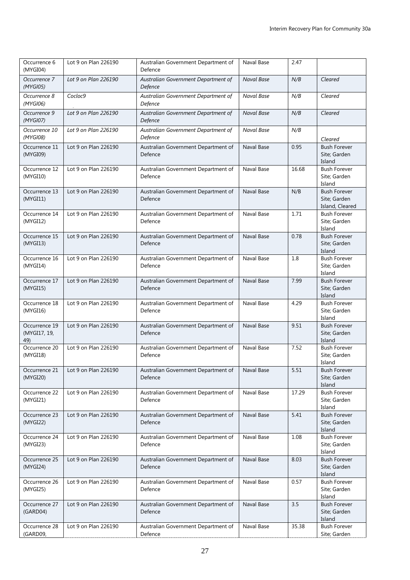| Occurrence 6<br>(MYGI04)             | Lot 9 on Plan 226190 | Australian Government Department of<br>Defence | Naval Base | 2.47  |                                                        |
|--------------------------------------|----------------------|------------------------------------------------|------------|-------|--------------------------------------------------------|
| Occurrence 7<br>(MYGI05)             | Lot 9 on Plan 226190 | Australian Government Department of<br>Defence | Naval Base | N/B   | Cleared                                                |
| Occurrence 8<br>(MYGI06)             | Cocloc9              | Australian Government Department of<br>Defence | Naval Base | N/B   | Cleared                                                |
| Occurrence 9<br>(MYGI07)             | Lot 9 on Plan 226190 | Australian Government Department of<br>Defence | Naval Base | N/B   | Cleared                                                |
| Occurrence 10<br>(MYGI08)            | Lot 9 on Plan 226190 | Australian Government Department of<br>Defence | Naval Base | N/B   | Cleared                                                |
| Occurrence 11<br>(MYGI09)            | Lot 9 on Plan 226190 | Australian Government Department of<br>Defence | Naval Base | 0.95  | <b>Bush Forever</b><br>Site; Garden<br>Island          |
| Occurrence 12<br>(MYGI10)            | Lot 9 on Plan 226190 | Australian Government Department of<br>Defence | Naval Base | 16.68 | <b>Bush Forever</b><br>Site; Garden<br>Island          |
| Occurrence 13<br>(MYGI11)            | Lot 9 on Plan 226190 | Australian Government Department of<br>Defence | Naval Base | N/B   | <b>Bush Forever</b><br>Site; Garden<br>Island, Cleared |
| Occurrence 14<br>(MYGI12)            | Lot 9 on Plan 226190 | Australian Government Department of<br>Defence | Naval Base | 1.71  | <b>Bush Forever</b><br>Site; Garden<br>Island          |
| Occurrence 15<br>(MYGI13)            | Lot 9 on Plan 226190 | Australian Government Department of<br>Defence | Naval Base | 0.78  | <b>Bush Forever</b><br>Site; Garden<br>Island          |
| Occurrence 16<br>(MYGI14)            | Lot 9 on Plan 226190 | Australian Government Department of<br>Defence | Naval Base | 1.8   | <b>Bush Forever</b><br>Site; Garden<br>Island          |
| Occurrence 17<br>(MYGI15)            | Lot 9 on Plan 226190 | Australian Government Department of<br>Defence | Naval Base | 7.99  | <b>Bush Forever</b><br>Site; Garden<br>Island          |
| Occurrence 18<br>(MYGI16)            | Lot 9 on Plan 226190 | Australian Government Department of<br>Defence | Naval Base | 4.29  | <b>Bush Forever</b><br>Site; Garden<br>Island          |
| Occurrence 19<br>(MYGI17, 19,<br>49) | Lot 9 on Plan 226190 | Australian Government Department of<br>Defence | Naval Base | 9.51  | <b>Bush Forever</b><br>Site; Garden<br>Island          |
| Occurrence 20<br>(MYGI18)            | Lot 9 on Plan 226190 | Australian Government Department of<br>Defence | Naval Base | 7.52  | <b>Bush Forever</b><br>Site; Garden<br>Island          |
| Occurrence 21<br>(MYGI20)            | Lot 9 on Plan 226190 | Australian Government Department of<br>Defence | Naval Base | 5.51  | <b>Bush Forever</b><br>Site; Garden<br>Island          |
| Occurrence 22<br>(MYGI21)            | Lot 9 on Plan 226190 | Australian Government Department of<br>Defence | Naval Base | 17.29 | <b>Bush Forever</b><br>Site; Garden<br>Island          |
| Occurrence 23<br>(MYGI22)            | Lot 9 on Plan 226190 | Australian Government Department of<br>Defence | Naval Base | 5.41  | <b>Bush Forever</b><br>Site; Garden<br>Island          |
| Occurrence 24<br>(MYGI23)            | Lot 9 on Plan 226190 | Australian Government Department of<br>Defence | Naval Base | 1.08  | <b>Bush Forever</b><br>Site; Garden<br>Island          |
| Occurrence 25<br>(MYGI24)            | Lot 9 on Plan 226190 | Australian Government Department of<br>Defence | Naval Base | 8.03  | <b>Bush Forever</b><br>Site; Garden<br>Island          |
| Occurrence 26<br>(MYGI25)            | Lot 9 on Plan 226190 | Australian Government Department of<br>Defence | Naval Base | 0.57  | <b>Bush Forever</b><br>Site; Garden<br>Island          |
| Occurrence 27<br>(GARD04)            | Lot 9 on Plan 226190 | Australian Government Department of<br>Defence | Naval Base | 3.5   | <b>Bush Forever</b><br>Site; Garden<br>Island          |
| Occurrence 28<br>(GARD09,            | Lot 9 on Plan 226190 | Australian Government Department of<br>Defence | Naval Base | 35.38 | <b>Bush Forever</b><br>Site; Garden                    |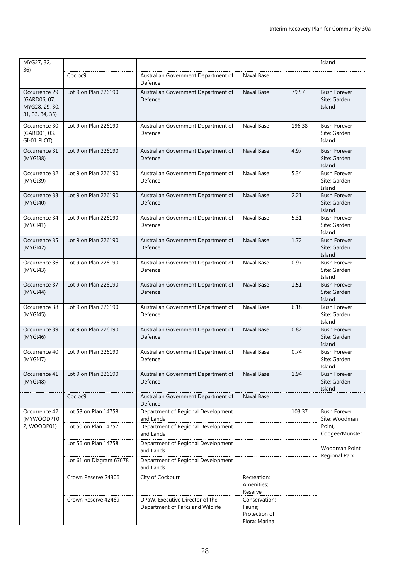| MYG27, 32,                                                         |                         |                                                                     |                                                           |        | Island                                        |  |
|--------------------------------------------------------------------|-------------------------|---------------------------------------------------------------------|-----------------------------------------------------------|--------|-----------------------------------------------|--|
| 36)                                                                | Cocloc9                 | Australian Government Department of<br>Defence                      | Naval Base                                                |        |                                               |  |
| Occurrence 29<br>(GARD06, 07,<br>MYG28, 29, 30,<br>31, 33, 34, 35) | Lot 9 on Plan 226190    | Australian Government Department of<br>Defence                      | Naval Base                                                | 79.57  | <b>Bush Forever</b><br>Site; Garden<br>Island |  |
| Occurrence 30<br>(GARD01, 03,<br>GI-01 PLOT)                       | Lot 9 on Plan 226190    | Australian Government Department of<br>Defence                      | Naval Base                                                | 196.38 | <b>Bush Forever</b><br>Site; Garden<br>Island |  |
| Occurrence 31<br>(MYGI38)                                          | Lot 9 on Plan 226190    | Australian Government Department of<br>Defence                      | Naval Base                                                | 4.97   | <b>Bush Forever</b><br>Site; Garden<br>Island |  |
| Occurrence 32<br>(MYGI39)                                          | Lot 9 on Plan 226190    | Australian Government Department of<br>Defence                      | Naval Base                                                | 5.34   | <b>Bush Forever</b><br>Site; Garden<br>Island |  |
| Occurrence 33<br>(MYGI40)                                          | Lot 9 on Plan 226190    | Australian Government Department of<br>Defence                      | Naval Base                                                | 2.21   | <b>Bush Forever</b><br>Site; Garden<br>Island |  |
| Occurrence 34<br>(MYGI41)                                          | Lot 9 on Plan 226190    | Australian Government Department of<br>Defence                      | Naval Base                                                | 5.31   | <b>Bush Forever</b><br>Site; Garden<br>Island |  |
| Occurrence 35<br>(MYGI42)                                          | Lot 9 on Plan 226190    | Australian Government Department of<br>Defence                      | Naval Base                                                | 1.72   | <b>Bush Forever</b><br>Site; Garden<br>Island |  |
| Occurrence 36<br>(MYGI43)                                          | Lot 9 on Plan 226190    | Australian Government Department of<br>Defence                      | Naval Base                                                | 0.97   | <b>Bush Forever</b><br>Site; Garden<br>Island |  |
| Occurrence 37<br>(MYGI44)                                          | Lot 9 on Plan 226190    | Australian Government Department of<br>Defence                      | Naval Base                                                | 1.51   | <b>Bush Forever</b><br>Site; Garden<br>Island |  |
| Occurrence 38<br>(MYGI45)                                          | Lot 9 on Plan 226190    | Australian Government Department of<br>Defence                      | Naval Base                                                | 6.18   | <b>Bush Forever</b><br>Site; Garden<br>Island |  |
| Occurrence 39<br>(MYGI46)                                          | Lot 9 on Plan 226190    | Australian Government Department of<br>Defence                      | Naval Base                                                | 0.82   | <b>Bush Forever</b><br>Site; Garden<br>Island |  |
| Occurrence 40<br>(MYGI47)                                          | Lot 9 on Plan 226190    | Australian Government Department of<br>Defence                      | Naval Base                                                | 0.74   | <b>Bush Forever</b><br>Site; Garden<br>Island |  |
| Occurrence 41<br>(MYGI48)                                          | Lot 9 on Plan 226190    | Australian Government Department of<br>Defence                      | Naval Base                                                | 1.94   | <b>Bush Forever</b><br>Site; Garden<br>Island |  |
|                                                                    | Cocloc9                 | Australian Government Department of<br>Defence                      | Naval Base                                                |        |                                               |  |
| Occurrence 42<br>(MYWOODPT0                                        | Lot 58 on Plan 14758    | Department of Regional Development<br>and Lands                     |                                                           | 103.37 | <b>Bush Forever</b><br>Site; Woodman          |  |
| 2, WOODP01)                                                        | Lot 50 on Plan 14757    | Department of Regional Development<br>and Lands                     |                                                           |        | Point,<br>Coogee/Munster                      |  |
|                                                                    | Lot 56 on Plan 14758    | Department of Regional Development<br>and Lands                     |                                                           |        | Woodman Point                                 |  |
|                                                                    | Lot 61 on Diagram 67078 | Department of Regional Development<br>and Lands                     |                                                           |        | Regional Park                                 |  |
|                                                                    | Crown Reserve 24306     | City of Cockburn                                                    | Recreation;<br>Amenities;<br>Reserve                      |        |                                               |  |
|                                                                    | Crown Reserve 42469     | DPaW, Executive Director of the<br>Department of Parks and Wildlife | Conservation;<br>Fauna;<br>Protection of<br>Flora; Marina |        |                                               |  |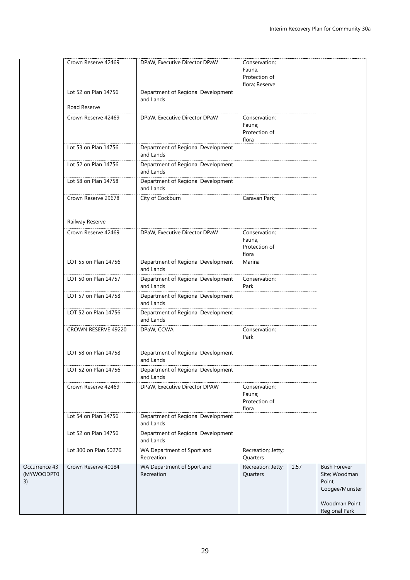|                                   | Crown Reserve 42469   | DPaW, Executive Director DPaW                   | Conservation;<br>Fauna;<br>Protection of<br>flora; Reserve |      |                                                                                                    |
|-----------------------------------|-----------------------|-------------------------------------------------|------------------------------------------------------------|------|----------------------------------------------------------------------------------------------------|
|                                   | Lot 52 on Plan 14756  | Department of Regional Development<br>and Lands |                                                            |      |                                                                                                    |
|                                   | Road Reserve          |                                                 |                                                            |      |                                                                                                    |
|                                   | Crown Reserve 42469   | DPaW, Executive Director DPaW                   | Conservation;<br>Fauna;<br>Protection of<br>flora          |      |                                                                                                    |
|                                   | Lot 53 on Plan 14756  | Department of Regional Development<br>and Lands |                                                            |      |                                                                                                    |
|                                   | Lot 52 on Plan 14756  | Department of Regional Development<br>and Lands |                                                            |      |                                                                                                    |
|                                   | Lot 58 on Plan 14758  | Department of Regional Development<br>and Lands |                                                            |      |                                                                                                    |
|                                   | Crown Reserve 29678   | City of Cockburn                                | Caravan Park;                                              |      |                                                                                                    |
|                                   | Railway Reserve       |                                                 |                                                            |      |                                                                                                    |
|                                   | Crown Reserve 42469   | DPaW, Executive Director DPaW                   | Conservation;<br>Fauna;<br>Protection of<br>flora          |      |                                                                                                    |
| LOT 55 on Plan 14756              |                       | Department of Regional Development<br>and Lands | Marina                                                     |      |                                                                                                    |
|                                   | LOT 50 on Plan 14757  | Department of Regional Development<br>and Lands | Conservation;<br>Park                                      |      |                                                                                                    |
|                                   | LOT 57 on Plan 14758  | Department of Regional Development<br>and Lands |                                                            |      |                                                                                                    |
|                                   | LOT 52 on Plan 14756  | Department of Regional Development<br>and Lands |                                                            |      |                                                                                                    |
|                                   | CROWN RESERVE 49220   | DPaW, CCWA                                      | Conservation;<br>Park                                      |      |                                                                                                    |
|                                   | LOT 58 on Plan 14758  | Department of Regional Development<br>and Lands |                                                            |      |                                                                                                    |
|                                   | LOT 52 on Plan 14756  | Department of Regional Development<br>and Lands |                                                            |      |                                                                                                    |
|                                   | Crown Reserve 42469   | DPaW, Executive Director DPAW                   | Conservation;<br>Fauna;<br>Protection of<br>flora          |      |                                                                                                    |
|                                   | Lot 54 on Plan 14756  | Department of Regional Development<br>and Lands |                                                            |      |                                                                                                    |
|                                   | Lot 52 on Plan 14756  | Department of Regional Development<br>and Lands |                                                            |      |                                                                                                    |
|                                   | Lot 300 on Plan 50276 | WA Department of Sport and<br>Recreation        | Recreation; Jetty;<br>Quarters                             |      |                                                                                                    |
| Occurrence 43<br>(MYWOODPT0<br>3) | Crown Reserve 40184   | WA Department of Sport and<br>Recreation        | Recreation; Jetty;<br>Quarters                             | 1.57 | <b>Bush Forever</b><br>Site; Woodman<br>Point,<br>Coogee/Munster<br>Woodman Point<br>Regional Park |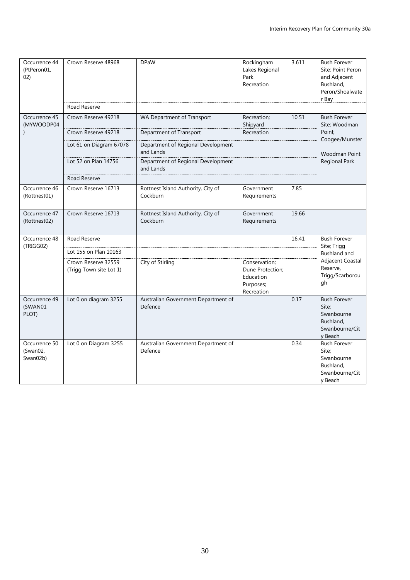| Occurrence 44<br>(PtPeron01,<br>02)   | Crown Reserve 48968                            | <b>DPaW</b>                                     | Rockingham<br>Lakes Regional<br>Park<br>Recreation                        | 3.611 | <b>Bush Forever</b><br>Site; Point Peron<br>and Adjacent<br>Bushland,<br>Peron/Shoalwate<br>r Bay |
|---------------------------------------|------------------------------------------------|-------------------------------------------------|---------------------------------------------------------------------------|-------|---------------------------------------------------------------------------------------------------|
|                                       | Road Reserve                                   |                                                 |                                                                           |       |                                                                                                   |
| Occurrence 45<br>(MYWOODP04           | Crown Reserve 49218                            | WA Department of Transport                      | Recreation;<br>Shipyard                                                   | 10.51 | <b>Bush Forever</b><br>Site; Woodman                                                              |
|                                       | Crown Reserve 49218                            | Department of Transport                         | Recreation                                                                |       | Point,<br>Coogee/Munster                                                                          |
|                                       | Lot 61 on Diagram 67078                        | Department of Regional Development<br>and Lands |                                                                           |       | <b>Woodman Point</b>                                                                              |
|                                       | Lot 52 on Plan 14756                           | Department of Regional Development<br>and Lands |                                                                           |       | <b>Regional Park</b>                                                                              |
|                                       | Road Reserve                                   |                                                 |                                                                           |       |                                                                                                   |
| Occurrence 46<br>(Rottnest01)         | Crown Reserve 16713                            | Rottnest Island Authority, City of<br>Cockburn  | Government<br>Requirements                                                | 7.85  |                                                                                                   |
| Occurrence 47<br>(Rottnest02)         | Crown Reserve 16713                            | Rottnest Island Authority, City of<br>Cockburn  | Government<br>Requirements                                                | 19.66 |                                                                                                   |
| Occurrence 48                         | Road Reserve                                   |                                                 |                                                                           | 16.41 | <b>Bush Forever</b>                                                                               |
| (TRIGG02)                             | Lot 155 on Plan 10163                          |                                                 |                                                                           |       | Site; Trigg<br><b>Bushland and</b>                                                                |
|                                       | Crown Reserve 32559<br>(Trigg Town site Lot 1) | City of Stirling                                | Conservation;<br>Dune Protection;<br>Education<br>Purposes;<br>Recreation |       | Adjacent Coastal<br>Reserve,<br>Trigg/Scarborou<br>gh                                             |
| Occurrence 49<br>(SWAN01<br>PLOT)     | Lot 0 on diagram 3255                          | Australian Government Department of<br>Defence  |                                                                           | 0.17  | <b>Bush Forever</b><br>Site;<br>Swanbourne<br>Bushland,<br>Swanbourne/Cit<br>y Beach              |
| Occurrence 50<br>(Swan02,<br>Swan02b) | Lot 0 on Diagram 3255                          | Australian Government Department of<br>Defence  |                                                                           | 0.34  | <b>Bush Forever</b><br>Site;<br>Swanbourne<br>Bushland,<br>Swanbourne/Cit<br>y Beach              |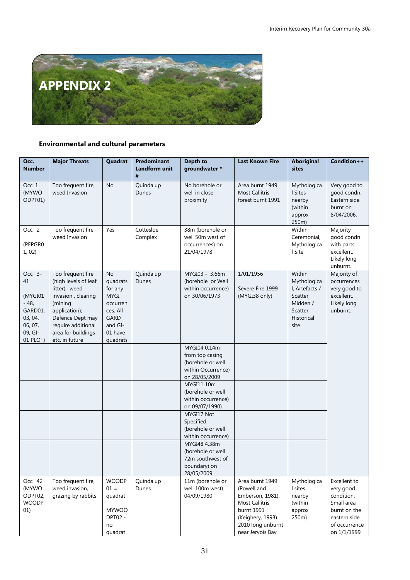

## **Environmental and cultural parameters**

| Occ.<br><b>Number</b>                                                                      | <b>Major Threats</b>                                                                                                                                                                           | Quadrat                                                                                                           | Predominant<br>Landform unit | Depth to<br>groundwater *                                                                   | <b>Last Known Fire</b>                                                                                                                                 | <b>Aboriginal</b><br>sites                                                                        | Condition++                                                                                                           |
|--------------------------------------------------------------------------------------------|------------------------------------------------------------------------------------------------------------------------------------------------------------------------------------------------|-------------------------------------------------------------------------------------------------------------------|------------------------------|---------------------------------------------------------------------------------------------|--------------------------------------------------------------------------------------------------------------------------------------------------------|---------------------------------------------------------------------------------------------------|-----------------------------------------------------------------------------------------------------------------------|
| Occ. 1<br>(MYWO<br>ODPT01)                                                                 | Too frequent fire,<br>weed Invasion                                                                                                                                                            | <b>No</b>                                                                                                         | #<br>Quindalup<br>Dunes      | No borehole or<br>well in close<br>proximity                                                | Area burnt 1949<br><b>Most Callitris</b><br>forest burnt 1991                                                                                          | Mythologica<br>I Sites<br>nearby<br>(within<br>approx<br>250m)                                    | Very good to<br>good condn.<br>Eastern side<br>burnt on<br>8/04/2006.                                                 |
| Occ. 2<br>(PEPGRO<br>1,02)                                                                 | Too frequent fire,<br>weed Invasion                                                                                                                                                            | Yes                                                                                                               | Cottesloe<br>Complex         | 38m (borehole or<br>well 50m west of<br>occurrences) on<br>21/04/1978                       |                                                                                                                                                        | Within<br>Ceremonial,<br>Mythologica<br>I Site                                                    | Majority<br>good condn<br>with parts<br>excellent.<br>Likely long<br>unburnt.                                         |
| Occ. 3-<br>41<br>(MYGI01<br>$-48,$<br>GARD01,<br>03, 04,<br>06, 07,<br>09, GI-<br>01 PLOT) | Too frequent fire<br>(high levels of leaf<br>litter), weed<br>invasion, clearing<br>(mining<br>application);<br>Defence Dept may<br>require additional<br>area for buildings<br>etc. in future | <b>No</b><br>quadrats<br>for any<br>MYGI<br>occurren<br>ces. All<br><b>GARD</b><br>and GI-<br>01 have<br>quadrats | Quindalup<br>Dunes           | MYGI03 - 3.66m<br>(borehole or Well<br>within occurrence)<br>on 30/06/1973                  | 1/01/1956<br>Severe Fire 1999<br>(MYGI38 only)                                                                                                         | Within<br>Mythologica<br>I, Artefacts /<br>Scatter,<br>Midden /<br>Scatter,<br>Historical<br>site | Majority of<br>occurrences<br>very good to<br>excellent.<br>Likely long<br>unburnt.                                   |
|                                                                                            |                                                                                                                                                                                                |                                                                                                                   |                              | MYGI04 0.14m<br>from top casing<br>(borehole or well<br>within Occurrence)<br>on 28/05/2009 |                                                                                                                                                        |                                                                                                   |                                                                                                                       |
|                                                                                            |                                                                                                                                                                                                |                                                                                                                   |                              | MYGI11 10m<br>(borehole or well<br>within occurrence)<br>on 09/07/1990)                     |                                                                                                                                                        |                                                                                                   |                                                                                                                       |
|                                                                                            |                                                                                                                                                                                                |                                                                                                                   |                              | MYGI17 Not<br>Specified<br>(borehole or well<br>within occurrence)                          |                                                                                                                                                        |                                                                                                   |                                                                                                                       |
|                                                                                            |                                                                                                                                                                                                |                                                                                                                   |                              | MYGI48 4.38m<br>(borehole or well<br>72m southwest of<br>boundary) on<br>28/05/2009         |                                                                                                                                                        |                                                                                                   |                                                                                                                       |
| Occ. 42<br>(MYWO<br>ODPT02,<br><b>WOODP</b><br>01)                                         | Too frequent fire,<br>weed invasion,<br>grazing by rabbits                                                                                                                                     | <b>WOODP</b><br>$01 =$<br>quadrat<br><b>MYWOO</b><br><b>DPT02 -</b><br>no<br>quadrat                              | Quindalup<br>Dunes           | 11m (borehole or<br>well 100m west)<br>04/09/1980                                           | Area burnt 1949<br>(Powell and<br>Emberson, 1981).<br><b>Most Callitris</b><br>burnt 1991<br>(Keighery, 1993)<br>2010 long unburnt<br>near Jervois Bay | Mythologica<br>I sites<br>nearby<br>(within<br>approx<br>250m)                                    | Excellent to<br>very good<br>condition.<br>Small area<br>burnt on the<br>eastern side<br>of occurrence<br>on 1/1/1999 |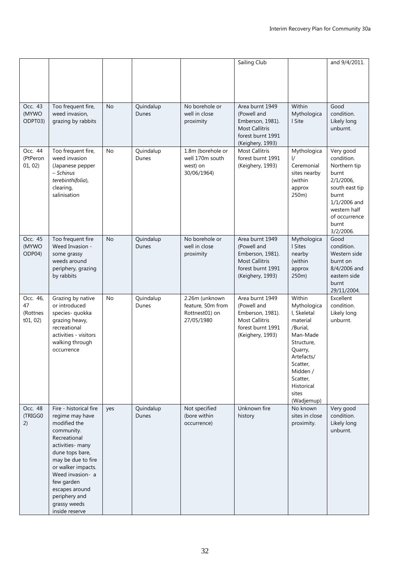|                                        |                                                                                                                                                                                                                                                                                   |           |                    |                                                                     | Sailing Club                                                                                                         |                                                                                                                                                                                          | and 9/4/2011.                                                                                                                                                   |
|----------------------------------------|-----------------------------------------------------------------------------------------------------------------------------------------------------------------------------------------------------------------------------------------------------------------------------------|-----------|--------------------|---------------------------------------------------------------------|----------------------------------------------------------------------------------------------------------------------|------------------------------------------------------------------------------------------------------------------------------------------------------------------------------------------|-----------------------------------------------------------------------------------------------------------------------------------------------------------------|
| Occ. 43<br>(MYWO<br>ODPT03)            | Too frequent fire,<br>weed invasion,<br>grazing by rabbits                                                                                                                                                                                                                        | <b>No</b> | Quindalup<br>Dunes | No borehole or<br>well in close<br>proximity                        | Area burnt 1949<br>(Powell and<br>Emberson, 1981).<br><b>Most Callitris</b><br>forest burnt 1991<br>(Keighery, 1993) | Within<br>Mythologica<br>I Site                                                                                                                                                          | Good<br>condition.<br>Likely long<br>unburnt.                                                                                                                   |
| Occ. 44<br>(PtPeron<br>01, 02)         | Too frequent fire,<br>weed invasion<br>(Japanese pepper<br>- Schinus<br>terebinthifolia),<br>clearing,<br>salinisation                                                                                                                                                            | No        | Quindalup<br>Dunes | 1.8m (borehole or<br>well 170m south<br>west) on<br>30/06/1964)     | <b>Most Callitris</b><br>forest burnt 1991<br>(Keighery, 1993)                                                       | Mythologica<br>I/<br>Ceremonial<br>sites nearby<br>(within<br>approx<br>250m)                                                                                                            | Very good<br>condition.<br>Northern tip<br>burnt<br>2/1/2006,<br>south east tip<br>burnt<br>1/1/2006 and<br>western half<br>of occurrence<br>burnt<br>3/2/2006. |
| Occ. 45<br>(MYWO<br>ODP04)             | Too frequent fire<br>Weed Invasion -<br>some grassy<br>weeds around<br>periphery, grazing<br>by rabbits                                                                                                                                                                           | No        | Quindalup<br>Dunes | No borehole or<br>well in close<br>proximity                        | Area burnt 1949<br>(Powell and<br>Emberson, 1981).<br><b>Most Callitris</b><br>forest burnt 1991<br>(Keighery, 1993) | Mythologica<br>I Sites<br>nearby<br>(within<br>approx<br>250m)                                                                                                                           | Good<br>condition.<br>Western side<br>burnt on<br>8/4/2006 and<br>eastern side<br>burnt<br>29/11/2004.                                                          |
| Осс. 46,<br>47<br>(Rottnes<br>t01, 02) | Grazing by native<br>or introduced<br>species- quokka<br>grazing heavy,<br>recreational<br>activities - visitors<br>walking through<br>occurrence                                                                                                                                 | No        | Quindalup<br>Dunes | 2.26m (unknown<br>feature, 50m from<br>Rottnest01) on<br>27/05/1980 | Area burnt 1949<br>(Powell and<br>Emberson, 1981).<br><b>Most Callitris</b><br>forest burnt 1991<br>(Keighery, 1993) | Within<br>Mythologica<br>I, Skeletal<br>material<br>/Burial.<br>Man-Made<br>Structure,<br>Quarry,<br>Artefacts/<br>Scatter,<br>Midden /<br>Scatter,<br>Historical<br>sites<br>(Wadjemup) | Excellent<br>condition.<br>Likely long<br>unburnt.                                                                                                              |
| Occ. 48<br>(TRIGG0<br>2)               | Fire - historical fire<br>regime may have<br>modified the<br>community.<br>Recreational<br>activities- many<br>dune tops bare,<br>may be due to fire<br>or walker impacts.<br>Weed invasion- a<br>few garden<br>escapes around<br>periphery and<br>grassy weeds<br>inside reserve | yes       | Quindalup<br>Dunes | Not specified<br>(bore within<br>occurrence)                        | Unknown fire<br>history                                                                                              | No known<br>sites in close<br>proximity.                                                                                                                                                 | Very good<br>condition.<br>Likely long<br>unburnt.                                                                                                              |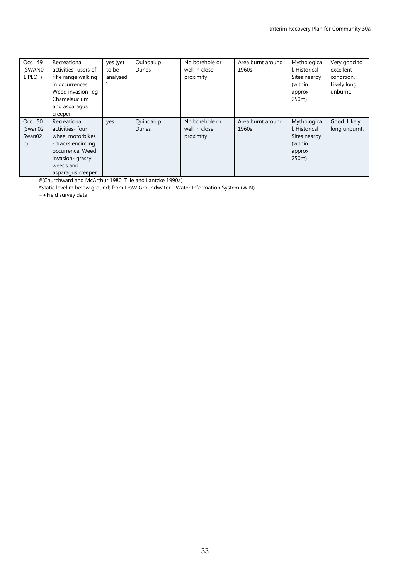| Occ. 49<br>(SWAN0)<br>1 PLOT)       | Recreational<br>activities- users of<br>rifle range walking<br>in occurrences.<br>Weed invasion- eq<br>Chamelaucium<br>and asparagus                             | yes (yet<br>to be<br>analysed | Quindalup<br>Dunes | No borehole or<br>well in close<br>proximity | Area burnt around<br>1960s | Mythologica<br>I, Historical<br>Sites nearby<br>(within<br>approx<br>250m) | Very good to<br>excellent<br>condition.<br>Likely long<br>unburnt. |
|-------------------------------------|------------------------------------------------------------------------------------------------------------------------------------------------------------------|-------------------------------|--------------------|----------------------------------------------|----------------------------|----------------------------------------------------------------------------|--------------------------------------------------------------------|
| Occ. 50<br>(Swan02,<br>Swan02<br>b) | creeper<br>Recreational<br>activities- four<br>wheel motorbikes<br>- tracks encircling<br>occurrence. Weed<br>invasion- grassy<br>weeds and<br>asparagus creeper | yes                           | Quindalup<br>Dunes | No borehole or<br>well in close<br>proximity | Area burnt around<br>1960s | Mythologica<br>I, Historical<br>Sites nearby<br>(within<br>approx<br>250m) | Good. Likely<br>long unburnt.                                      |

#(Churchward and McArthur 1980; Tille and Lantzke 1990a)

\*Static level m below ground; from DoW Groundwater - Water Information System (WIN)

++Field survey data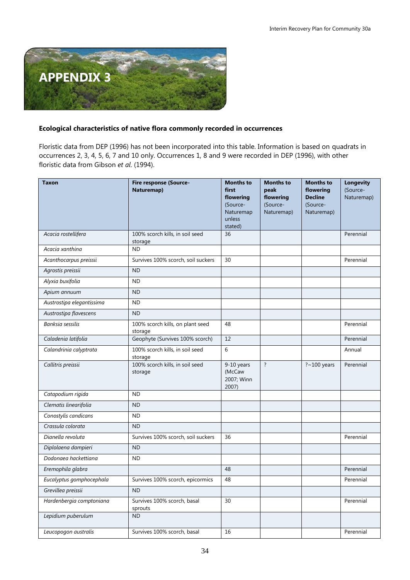

## **Ecological characteristics of native flora commonly recorded in occurrences**

Floristic data from DEP (1996) has not been incorporated into this table. Information is based on quadrats in occurrences 2, 3, 4, 5, 6, 7 and 10 only. Occurrences 1, 8 and 9 were recorded in DEP (1996), with other floristic data from Gibson *et al*. (1994).

| <b>Taxon</b>              | Fire response (Source-<br>Naturemap)        | <b>Months to</b><br>first<br>flowering<br>(Source-<br>Naturemap<br>unless<br>stated) | <b>Months to</b><br>peak<br>flowering<br>(Source-<br>Naturemap) | <b>Months to</b><br>flowering<br><b>Decline</b><br>(Source-<br>Naturemap) | <b>Longevity</b><br>(Source-<br>Naturemap) |
|---------------------------|---------------------------------------------|--------------------------------------------------------------------------------------|-----------------------------------------------------------------|---------------------------------------------------------------------------|--------------------------------------------|
| Acacia rostellifera       | 100% scorch kills, in soil seed<br>storage  | 36                                                                                   |                                                                 |                                                                           | Perennial                                  |
| Acacia xanthina           | <b>ND</b>                                   |                                                                                      |                                                                 |                                                                           |                                            |
| Acanthocarpus preissii    | Survives 100% scorch, soil suckers          | 30                                                                                   |                                                                 |                                                                           | Perennial                                  |
| Agrostis preissii         | <b>ND</b>                                   |                                                                                      |                                                                 |                                                                           |                                            |
| Alyxia buxifolia          | ND                                          |                                                                                      |                                                                 |                                                                           |                                            |
| Apium annuum              | <b>ND</b>                                   |                                                                                      |                                                                 |                                                                           |                                            |
| Austrostipa elegantissima | <b>ND</b>                                   |                                                                                      |                                                                 |                                                                           |                                            |
| Austrostipa flavescens    | <b>ND</b>                                   |                                                                                      |                                                                 |                                                                           |                                            |
| Banksia sessilis          | 100% scorch kills, on plant seed<br>storage | 48                                                                                   |                                                                 |                                                                           | Perennial                                  |
| Caladenia latifolia       | Geophyte (Survives 100% scorch)             | 12                                                                                   |                                                                 |                                                                           | Perennial                                  |
| Calandrinia calyptrata    | 100% scorch kills, in soil seed<br>storage  | 6                                                                                    |                                                                 |                                                                           | Annual                                     |
| Callitris preissii        | 100% scorch kills, in soil seed<br>storage  | 9-10 years<br>(McCaw<br>2007; Winn<br>2007)                                          | $\overline{?}$                                                  | $?~100$ years                                                             | Perennial                                  |
| Catapodium rigida         | <b>ND</b>                                   |                                                                                      |                                                                 |                                                                           |                                            |
| Clematis linearifolia     | <b>ND</b>                                   |                                                                                      |                                                                 |                                                                           |                                            |
| Conostylis candicans      | <b>ND</b>                                   |                                                                                      |                                                                 |                                                                           |                                            |
| Crassula colorata         | <b>ND</b>                                   |                                                                                      |                                                                 |                                                                           |                                            |
| Dianella revoluta         | Survives 100% scorch, soil suckers          | 36                                                                                   |                                                                 |                                                                           | Perennial                                  |
| Diplolaena dampieri       | <b>ND</b>                                   |                                                                                      |                                                                 |                                                                           |                                            |
| Dodonaea hackettiana      | ND                                          |                                                                                      |                                                                 |                                                                           |                                            |
| Eremophila glabra         |                                             | 48                                                                                   |                                                                 |                                                                           | Perennial                                  |
| Eucalyptus gomphocephala  | Survives 100% scorch, epicormics            | 48                                                                                   |                                                                 |                                                                           | Perennial                                  |
| Grevillea preissii        | <b>ND</b>                                   |                                                                                      |                                                                 |                                                                           |                                            |
| Hardenbergia comptoniana  | Survives 100% scorch, basal<br>sprouts      | 30                                                                                   |                                                                 |                                                                           | Perennial                                  |
| Lepidium puberulum        | <b>ND</b>                                   |                                                                                      |                                                                 |                                                                           |                                            |
| Leucopogon australis      | Survives 100% scorch, basal                 | 16                                                                                   |                                                                 |                                                                           | Perennial                                  |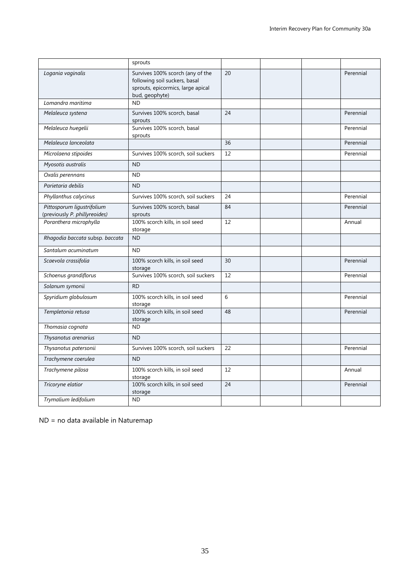|                                                             | sprouts                                                                                                                  |    |           |
|-------------------------------------------------------------|--------------------------------------------------------------------------------------------------------------------------|----|-----------|
| Logania vaginalis                                           | Survives 100% scorch (any of the<br>following soil suckers, basal<br>sprouts, epicormics, large apical<br>bud, geophyte) | 20 | Perennial |
| Lomandra maritima                                           | <b>ND</b>                                                                                                                |    |           |
| Melaleuca systena                                           | Survives 100% scorch, basal<br>sprouts                                                                                   | 24 | Perennial |
| Melaleuca huegelii                                          | Survives 100% scorch, basal<br>sprouts                                                                                   |    | Perennial |
| Melaleuca lanceolata                                        |                                                                                                                          | 36 | Perennial |
| Microlaena stipoides                                        | Survives 100% scorch, soil suckers                                                                                       | 12 | Perennial |
| Myosotis australis                                          | <b>ND</b>                                                                                                                |    |           |
| Oxalis perennans                                            | <b>ND</b>                                                                                                                |    |           |
| Parietaria debilis                                          | <b>ND</b>                                                                                                                |    |           |
| Phyllanthus calycinus                                       | Survives 100% scorch, soil suckers                                                                                       | 24 | Perennial |
| Pittosporum ligustrifolium<br>(previously P. phillyreoides) | Survives 100% scorch, basal<br>sprouts                                                                                   | 84 | Perennial |
| Poranthera microphylla                                      | 100% scorch kills, in soil seed<br>storage                                                                               | 12 | Annual    |
| Rhagodia baccata subsp. baccata                             | <b>ND</b>                                                                                                                |    |           |
| Santalum acuminatum                                         | <b>ND</b>                                                                                                                |    |           |
| Scaevola crassifolia                                        | 100% scorch kills, in soil seed<br>storage                                                                               | 30 | Perennial |
| Schoenus grandiflorus                                       | Survives 100% scorch, soil suckers                                                                                       | 12 | Perennial |
| Solanum symonii                                             | <b>RD</b>                                                                                                                |    |           |
| Spyridium globulosum                                        | 100% scorch kills, in soil seed<br>storage                                                                               | 6  | Perennial |
| Templetonia retusa                                          | 100% scorch kills, in soil seed<br>storage                                                                               | 48 | Perennial |
| Thomasia cognata                                            | ND.                                                                                                                      |    |           |
| Thysanotus arenarius                                        | <b>ND</b>                                                                                                                |    |           |
| Thysanotus patersonii                                       | Survives 100% scorch, soil suckers                                                                                       | 22 | Perennial |
| Trachymene coerulea                                         | <b>ND</b>                                                                                                                |    |           |
| Trachymene pilosa                                           | 100% scorch kills, in soil seed<br>storage                                                                               | 12 | Annual    |
| Tricoryne elatior                                           | 100% scorch kills, in soil seed<br>storage                                                                               | 24 | Perennial |
| Trymalium ledifolium                                        | <b>ND</b>                                                                                                                |    |           |

ND = no data available in Naturemap